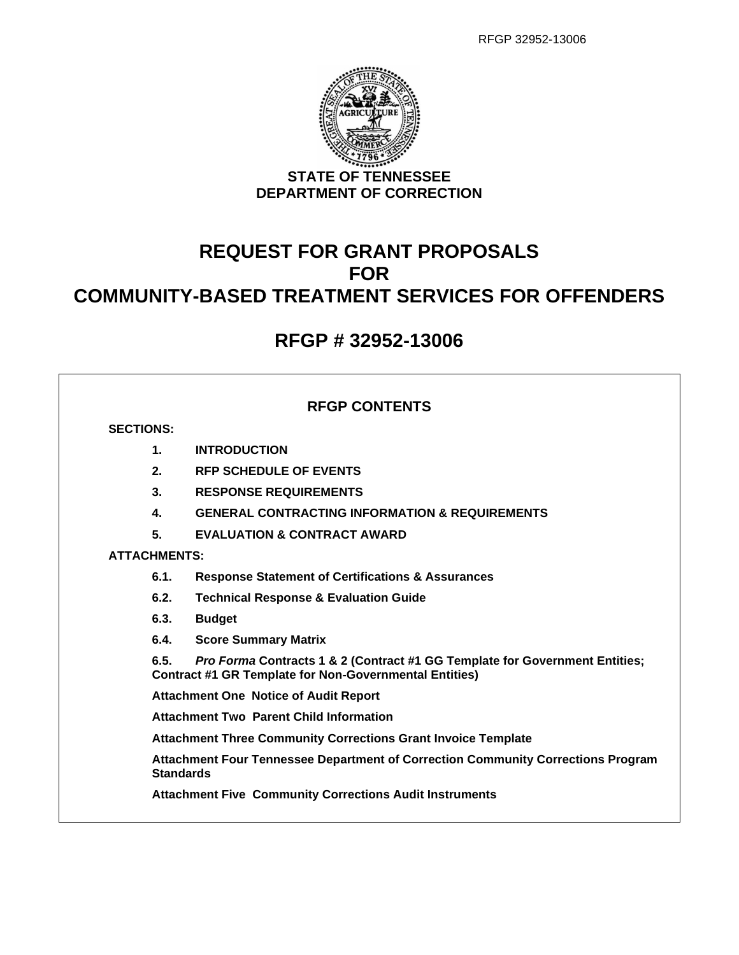

# **REQUEST FOR GRANT PROPOSALS FOR COMMUNITY-BASED TREATMENT SERVICES FOR OFFENDERS**

## **RFGP # 32952-13006**

## **RFGP CONTENTS**

## **SECTIONS:**

- **1. INTRODUCTION**
- **2. RFP SCHEDULE OF EVENTS**
- **3. RESPONSE REQUIREMENTS**
- **4. GENERAL CONTRACTING INFORMATION & REQUIREMENTS**
- **5. EVALUATION & CONTRACT AWARD**

## **ATTACHMENTS:**

- **6.1. Response Statement of Certifications & Assurances**
- **6.2. Technical Response & Evaluation Guide**
- **6.3. Budget**
- **6.4. Score Summary Matrix**

**6.5.** *Pro Forma* **Contracts 1 & 2 (Contract #1 GG Template for Government Entities; Contract #1 GR Template for Non-Governmental Entities)**

**Attachment One Notice of Audit Report**

**Attachment Two Parent Child Information**

**Attachment Three Community Corrections Grant Invoice Template**

**Attachment Four Tennessee Department of Correction Community Corrections Program Standards**

**Attachment Five Community Corrections Audit Instruments**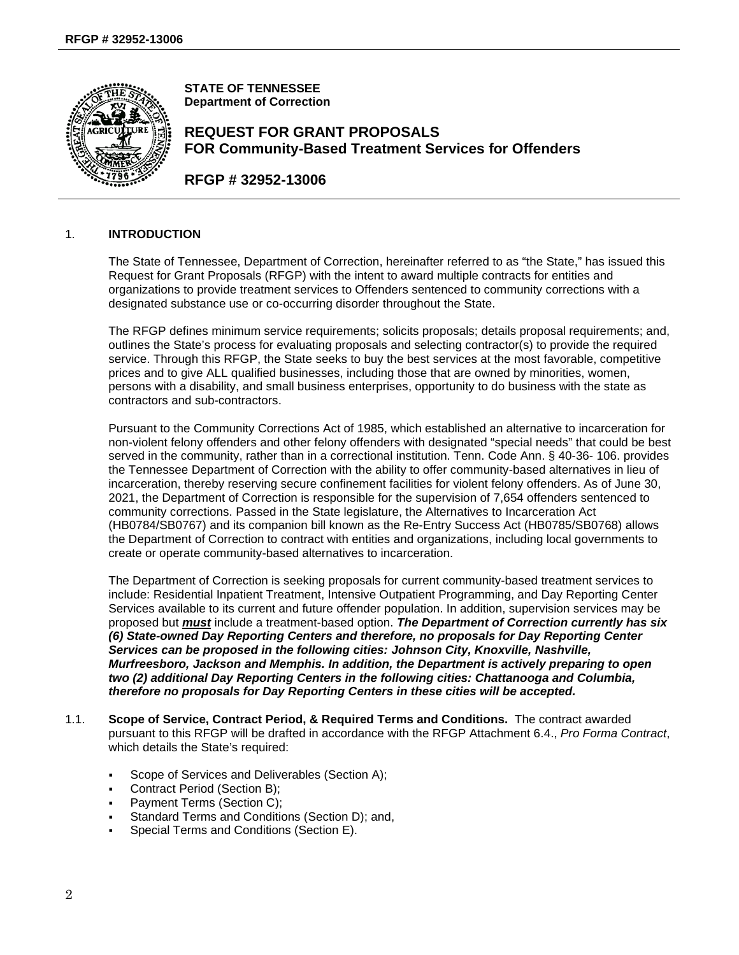

**STATE OF TENNESSEE Department of Correction**

## **REQUEST FOR GRANT PROPOSALS FOR Community-Based Treatment Services for Offenders**

**RFGP # 32952-13006**

### 1. **INTRODUCTION**

The State of Tennessee, Department of Correction, hereinafter referred to as "the State," has issued this Request for Grant Proposals (RFGP) with the intent to award multiple contracts for entities and organizations to provide treatment services to Offenders sentenced to community corrections with a designated substance use or co-occurring disorder throughout the State.

The RFGP defines minimum service requirements; solicits proposals; details proposal requirements; and, outlines the State's process for evaluating proposals and selecting contractor(s) to provide the required service. Through this RFGP, the State seeks to buy the best services at the most favorable, competitive prices and to give ALL qualified businesses, including those that are owned by minorities, women, persons with a disability, and small business enterprises, opportunity to do business with the state as contractors and sub-contractors.

Pursuant to the Community Corrections Act of 1985, which established an alternative to incarceration for non-violent felony offenders and other felony offenders with designated "special needs" that could be best served in the community, rather than in a correctional institution. Tenn. Code Ann. § 40-36- 106. provides the Tennessee Department of Correction with the ability to offer community-based alternatives in lieu of incarceration, thereby reserving secure confinement facilities for violent felony offenders. As of June 30, 2021, the Department of Correction is responsible for the supervision of 7,654 offenders sentenced to community corrections. Passed in the State legislature, the Alternatives to Incarceration Act (HB0784/SB0767) and its companion bill known as the Re-Entry Success Act (HB0785/SB0768) allows the Department of Correction to contract with entities and organizations, including local governments to create or operate community-based alternatives to incarceration.

The Department of Correction is seeking proposals for current community-based treatment services to include: Residential Inpatient Treatment, Intensive Outpatient Programming, and Day Reporting Center Services available to its current and future offender population. In addition, supervision services may be proposed but *must* include a treatment-based option. *The Department of Correction currently has six (6) State-owned Day Reporting Centers and therefore, no proposals for Day Reporting Center Services can be proposed in the following cities: Johnson City, Knoxville, Nashville, Murfreesboro, Jackson and Memphis. In addition, the Department is actively preparing to open two (2) additional Day Reporting Centers in the following cities: Chattanooga and Columbia, therefore no proposals for Day Reporting Centers in these cities will be accepted.*

- 1.1. **Scope of Service, Contract Period, & Required Terms and Conditions.** The contract awarded pursuant to this RFGP will be drafted in accordance with the RFGP Attachment 6.4., *Pro Forma Contract*, which details the State's required:
	- Scope of Services and Deliverables (Section A);
	- Contract Period (Section B);
	- Payment Terms (Section C);
	- Standard Terms and Conditions (Section D); and,
	- Special Terms and Conditions (Section E).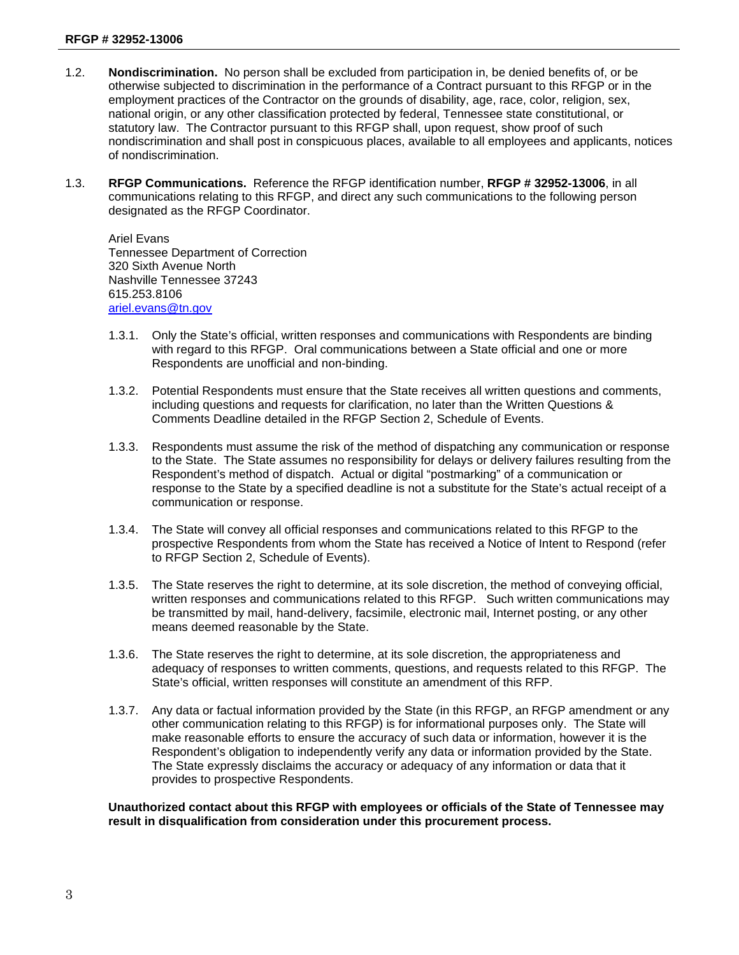- 1.2. **Nondiscrimination.** No person shall be excluded from participation in, be denied benefits of, or be otherwise subjected to discrimination in the performance of a Contract pursuant to this RFGP or in the employment practices of the Contractor on the grounds of disability, age, race, color, religion, sex, national origin, or any other classification protected by federal, Tennessee state constitutional, or statutory law. The Contractor pursuant to this RFGP shall, upon request, show proof of such nondiscrimination and shall post in conspicuous places, available to all employees and applicants, notices of nondiscrimination.
- 1.3. **RFGP Communications.** Reference the RFGP identification number, **RFGP # 32952-13006**, in all communications relating to this RFGP, and direct any such communications to the following person designated as the RFGP Coordinator.

Ariel Evans Tennessee Department of Correction 320 Sixth Avenue North Nashville Tennessee 37243 615.253.8106 [ariel.evans@tn.gov](mailto:ariel.evans@tn.gov)

- 1.3.1. Only the State's official, written responses and communications with Respondents are binding with regard to this RFGP. Oral communications between a State official and one or more Respondents are unofficial and non-binding.
- 1.3.2. Potential Respondents must ensure that the State receives all written questions and comments, including questions and requests for clarification, no later than the Written Questions & Comments Deadline detailed in the RFGP Section 2, Schedule of Events.
- 1.3.3. Respondents must assume the risk of the method of dispatching any communication or response to the State. The State assumes no responsibility for delays or delivery failures resulting from the Respondent's method of dispatch. Actual or digital "postmarking" of a communication or response to the State by a specified deadline is not a substitute for the State's actual receipt of a communication or response.
- 1.3.4. The State will convey all official responses and communications related to this RFGP to the prospective Respondents from whom the State has received a Notice of Intent to Respond (refer to RFGP Section 2, Schedule of Events).
- 1.3.5. The State reserves the right to determine, at its sole discretion, the method of conveying official, written responses and communications related to this RFGP. Such written communications may be transmitted by mail, hand-delivery, facsimile, electronic mail, Internet posting, or any other means deemed reasonable by the State.
- 1.3.6. The State reserves the right to determine, at its sole discretion, the appropriateness and adequacy of responses to written comments, questions, and requests related to this RFGP. The State's official, written responses will constitute an amendment of this RFP.
- 1.3.7. Any data or factual information provided by the State (in this RFGP, an RFGP amendment or any other communication relating to this RFGP) is for informational purposes only. The State will make reasonable efforts to ensure the accuracy of such data or information, however it is the Respondent's obligation to independently verify any data or information provided by the State. The State expressly disclaims the accuracy or adequacy of any information or data that it provides to prospective Respondents.

**Unauthorized contact about this RFGP with employees or officials of the State of Tennessee may result in disqualification from consideration under this procurement process.**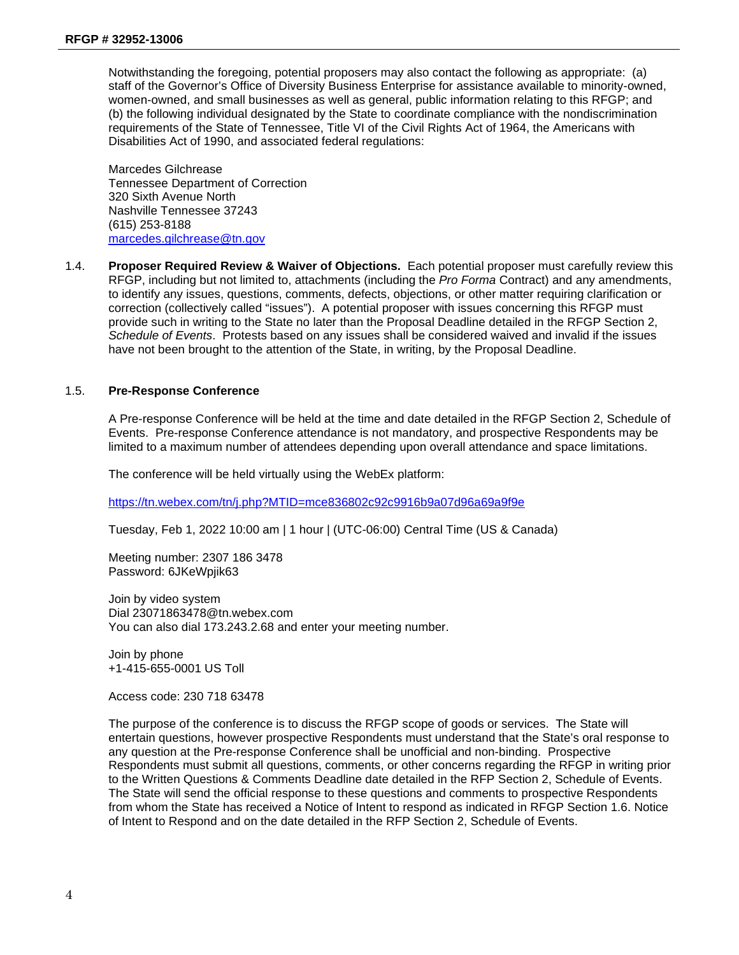Notwithstanding the foregoing, potential proposers may also contact the following as appropriate: (a) staff of the Governor's Office of Diversity Business Enterprise for assistance available to minority-owned, women-owned, and small businesses as well as general, public information relating to this RFGP; and (b) the following individual designated by the State to coordinate compliance with the nondiscrimination requirements of the State of Tennessee, Title VI of the Civil Rights Act of 1964, the Americans with Disabilities Act of 1990, and associated federal regulations:

Marcedes Gilchrease Tennessee Department of Correction 320 Sixth Avenue North Nashville Tennessee 37243 (615) 253-8188 [marcedes.gilchrease@tn.gov](mailto:marcedes.gilchrease@tn.gov)

1.4. **Proposer Required Review & Waiver of Objections.** Each potential proposer must carefully review this RFGP, including but not limited to, attachments (including the *Pro Forma* Contract) and any amendments, to identify any issues, questions, comments, defects, objections, or other matter requiring clarification or correction (collectively called "issues"). A potential proposer with issues concerning this RFGP must provide such in writing to the State no later than the Proposal Deadline detailed in the RFGP Section 2, *Schedule of Events*. Protests based on any issues shall be considered waived and invalid if the issues have not been brought to the attention of the State, in writing, by the Proposal Deadline.

#### 1.5. **Pre-Response Conference**

A Pre-response Conference will be held at the time and date detailed in the RFGP Section 2, Schedule of Events. Pre-response Conference attendance is not mandatory, and prospective Respondents may be limited to a maximum number of attendees depending upon overall attendance and space limitations.

The conference will be held virtually using the WebEx platform:

<https://tn.webex.com/tn/j.php?MTID=mce836802c92c9916b9a07d96a69a9f9e>

Tuesday, Feb 1, 2022 10:00 am | 1 hour | (UTC-06:00) Central Time (US & Canada)

Meeting number: 2307 186 3478 Password: 6JKeWpjik63

Join by video system Dial 23071863478@tn.webex.com You can also dial 173.243.2.68 and enter your meeting number.

Join by phone +1-415-655-0001 US Toll

Access code: 230 718 63478

The purpose of the conference is to discuss the RFGP scope of goods or services. The State will entertain questions, however prospective Respondents must understand that the State's oral response to any question at the Pre-response Conference shall be unofficial and non-binding. Prospective Respondents must submit all questions, comments, or other concerns regarding the RFGP in writing prior to the Written Questions & Comments Deadline date detailed in the RFP Section 2, Schedule of Events. The State will send the official response to these questions and comments to prospective Respondents from whom the State has received a Notice of Intent to respond as indicated in RFGP Section 1.6. Notice of Intent to Respond and on the date detailed in the RFP Section 2, Schedule of Events.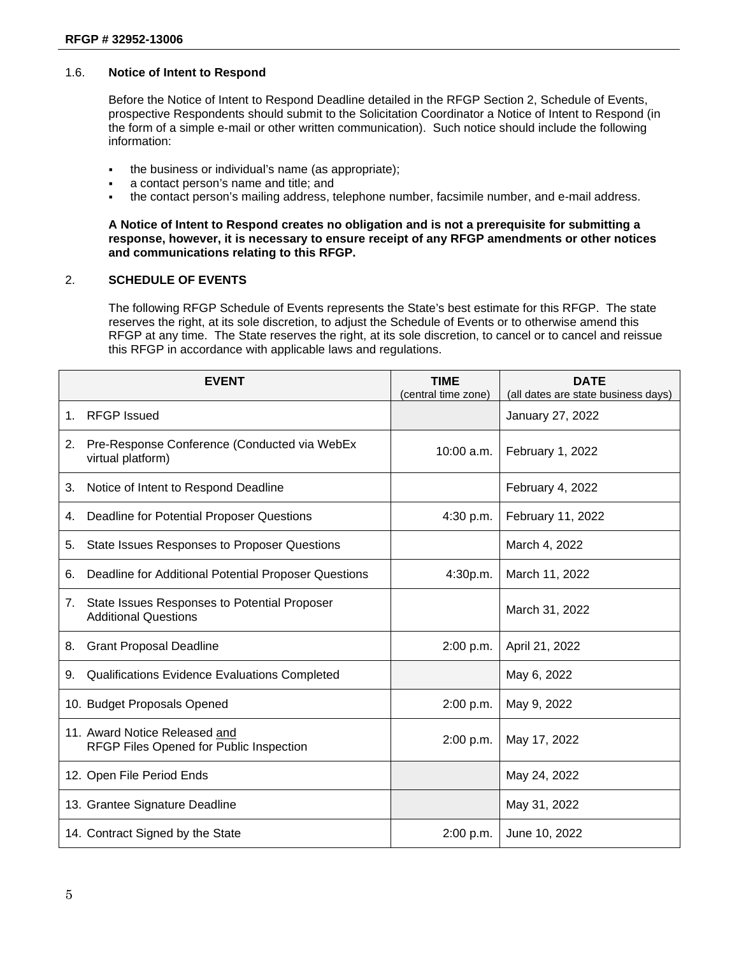#### 1.6. **Notice of Intent to Respond**

Before the Notice of Intent to Respond Deadline detailed in the RFGP Section 2, Schedule of Events, prospective Respondents should submit to the Solicitation Coordinator a Notice of Intent to Respond (in the form of a simple e-mail or other written communication). Such notice should include the following information:

- the business or individual's name (as appropriate);
- a contact person's name and title; and
- the contact person's mailing address, telephone number, facsimile number, and e-mail address.

**A Notice of Intent to Respond creates no obligation and is not a prerequisite for submitting a response, however, it is necessary to ensure receipt of any RFGP amendments or other notices and communications relating to this RFGP.**

#### 2. **SCHEDULE OF EVENTS**

The following RFGP Schedule of Events represents the State's best estimate for this RFGP. The state reserves the right, at its sole discretion, to adjust the Schedule of Events or to otherwise amend this RFGP at any time. The State reserves the right, at its sole discretion, to cancel or to cancel and reissue this RFGP in accordance with applicable laws and regulations.

|         | <b>EVENT</b>                                                                | <b>TIME</b><br>(central time zone) | <b>DATE</b><br>(all dates are state business days) |
|---------|-----------------------------------------------------------------------------|------------------------------------|----------------------------------------------------|
| $1_{-}$ | <b>RFGP</b> Issued                                                          |                                    | January 27, 2022                                   |
| 2.      | Pre-Response Conference (Conducted via WebEx<br>virtual platform)           | 10:00 a.m.                         | February 1, 2022                                   |
| 3.      | Notice of Intent to Respond Deadline                                        |                                    | February 4, 2022                                   |
| 4.      | Deadline for Potential Proposer Questions                                   | 4:30 p.m.                          | February 11, 2022                                  |
| 5.      | State Issues Responses to Proposer Questions                                |                                    | March 4, 2022                                      |
| 6.      | Deadline for Additional Potential Proposer Questions                        | 4:30p.m.                           | March 11, 2022                                     |
| 7.      | State Issues Responses to Potential Proposer<br><b>Additional Questions</b> |                                    | March 31, 2022                                     |
| 8.      | <b>Grant Proposal Deadline</b>                                              | 2:00 p.m.                          | April 21, 2022                                     |
| 9.      | Qualifications Evidence Evaluations Completed                               |                                    | May 6, 2022                                        |
|         | 10. Budget Proposals Opened                                                 | 2:00 p.m.                          | May 9, 2022                                        |
|         | 11. Award Notice Released and<br>RFGP Files Opened for Public Inspection    | 2:00 p.m.                          | May 17, 2022                                       |
|         | 12. Open File Period Ends                                                   |                                    | May 24, 2022                                       |
|         | 13. Grantee Signature Deadline                                              |                                    | May 31, 2022                                       |
|         | 14. Contract Signed by the State                                            | 2:00 p.m.                          | June 10, 2022                                      |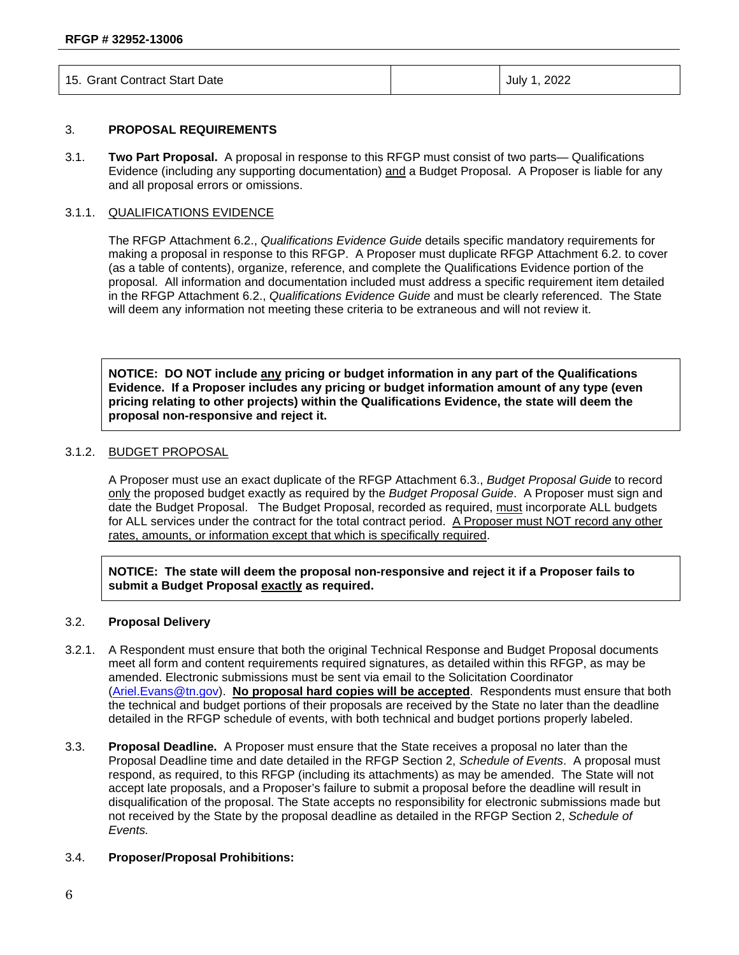| 15. Grant Contract Start Date | July 1, 2022 |
|-------------------------------|--------------|
|-------------------------------|--------------|

#### 3. **PROPOSAL REQUIREMENTS**

3.1. **Two Part Proposal.** A proposal in response to this RFGP must consist of two parts— Qualifications Evidence (including any supporting documentation) and a Budget Proposal. A Proposer is liable for any and all proposal errors or omissions.

#### 3.1.1. QUALIFICATIONS EVIDENCE

The RFGP Attachment 6.2., *Qualifications Evidence Guide* details specific mandatory requirements for making a proposal in response to this RFGP. A Proposer must duplicate RFGP Attachment 6.2. to cover (as a table of contents), organize, reference, and complete the Qualifications Evidence portion of the proposal. All information and documentation included must address a specific requirement item detailed in the RFGP Attachment 6.2., *Qualifications Evidence Guide* and must be clearly referenced. The State will deem any information not meeting these criteria to be extraneous and will not review it.

**NOTICE: DO NOT include any pricing or budget information in any part of the Qualifications Evidence. If a Proposer includes any pricing or budget information amount of any type (even pricing relating to other projects) within the Qualifications Evidence, the state will deem the proposal non-responsive and reject it.**

#### 3.1.2. BUDGET PROPOSAL

A Proposer must use an exact duplicate of the RFGP Attachment 6.3., *Budget Proposal Guide* to record only the proposed budget exactly as required by the *Budget Proposal Guide*. A Proposer must sign and date the Budget Proposal. The Budget Proposal, recorded as required, must incorporate ALL budgets for ALL services under the contract for the total contract period. A Proposer must NOT record any other rates, amounts, or information except that which is specifically required.

**NOTICE: The state will deem the proposal non-responsive and reject it if a Proposer fails to submit a Budget Proposal exactly as required.**

#### 3.2. **Proposal Delivery**

- 3.2.1. A Respondent must ensure that both the original Technical Response and Budget Proposal documents meet all form and content requirements required signatures, as detailed within this RFGP, as may be amended. Electronic submissions must be sent via email to the Solicitation Coordinator [\(Ariel.Evans@tn.gov\)](mailto:Ariel.Evans@tn.gov). **No proposal hard copies will be accepted**. Respondents must ensure that both the technical and budget portions of their proposals are received by the State no later than the deadline detailed in the RFGP schedule of events, with both technical and budget portions properly labeled.
- 3.3. **Proposal Deadline.** A Proposer must ensure that the State receives a proposal no later than the Proposal Deadline time and date detailed in the RFGP Section 2, *Schedule of Events*. A proposal must respond, as required, to this RFGP (including its attachments) as may be amended. The State will not accept late proposals, and a Proposer's failure to submit a proposal before the deadline will result in disqualification of the proposal. The State accepts no responsibility for electronic submissions made but not received by the State by the proposal deadline as detailed in the RFGP Section 2, *Schedule of Events.*

#### 3.4. **Proposer/Proposal Prohibitions:**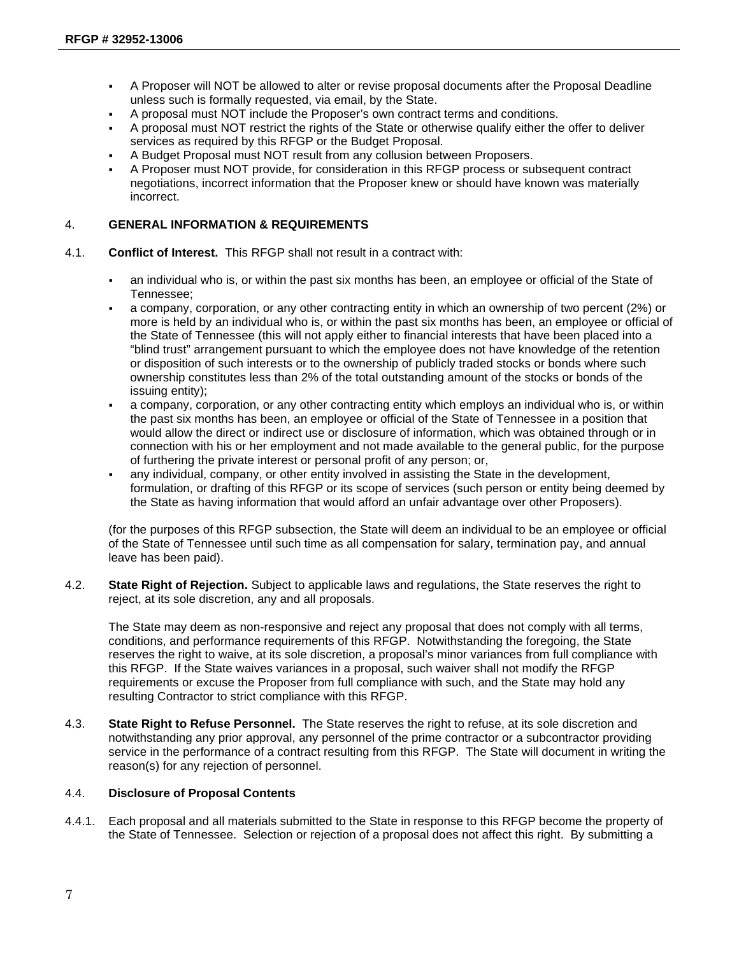- A Proposer will NOT be allowed to alter or revise proposal documents after the Proposal Deadline unless such is formally requested, via email, by the State.
- A proposal must NOT include the Proposer's own contract terms and conditions.
- A proposal must NOT restrict the rights of the State or otherwise qualify either the offer to deliver services as required by this RFGP or the Budget Proposal.
- A Budget Proposal must NOT result from any collusion between Proposers.
- A Proposer must NOT provide, for consideration in this RFGP process or subsequent contract negotiations, incorrect information that the Proposer knew or should have known was materially incorrect.

#### 4. **GENERAL INFORMATION & REQUIREMENTS**

- 4.1. **Conflict of Interest.** This RFGP shall not result in a contract with:
	- an individual who is, or within the past six months has been, an employee or official of the State of Tennessee;
	- a company, corporation, or any other contracting entity in which an ownership of two percent (2%) or more is held by an individual who is, or within the past six months has been, an employee or official of the State of Tennessee (this will not apply either to financial interests that have been placed into a "blind trust" arrangement pursuant to which the employee does not have knowledge of the retention or disposition of such interests or to the ownership of publicly traded stocks or bonds where such ownership constitutes less than 2% of the total outstanding amount of the stocks or bonds of the issuing entity);
	- a company, corporation, or any other contracting entity which employs an individual who is, or within the past six months has been, an employee or official of the State of Tennessee in a position that would allow the direct or indirect use or disclosure of information, which was obtained through or in connection with his or her employment and not made available to the general public, for the purpose of furthering the private interest or personal profit of any person; or,
	- any individual, company, or other entity involved in assisting the State in the development, formulation, or drafting of this RFGP or its scope of services (such person or entity being deemed by the State as having information that would afford an unfair advantage over other Proposers).

(for the purposes of this RFGP subsection, the State will deem an individual to be an employee or official of the State of Tennessee until such time as all compensation for salary, termination pay, and annual leave has been paid).

4.2. **State Right of Rejection.** Subject to applicable laws and regulations, the State reserves the right to reject, at its sole discretion, any and all proposals.

The State may deem as non-responsive and reject any proposal that does not comply with all terms, conditions, and performance requirements of this RFGP. Notwithstanding the foregoing, the State reserves the right to waive, at its sole discretion, a proposal's minor variances from full compliance with this RFGP. If the State waives variances in a proposal, such waiver shall not modify the RFGP requirements or excuse the Proposer from full compliance with such, and the State may hold any resulting Contractor to strict compliance with this RFGP.

4.3. **State Right to Refuse Personnel.** The State reserves the right to refuse, at its sole discretion and notwithstanding any prior approval, any personnel of the prime contractor or a subcontractor providing service in the performance of a contract resulting from this RFGP. The State will document in writing the reason(s) for any rejection of personnel.

#### 4.4. **Disclosure of Proposal Contents**

4.4.1. Each proposal and all materials submitted to the State in response to this RFGP become the property of the State of Tennessee. Selection or rejection of a proposal does not affect this right. By submitting a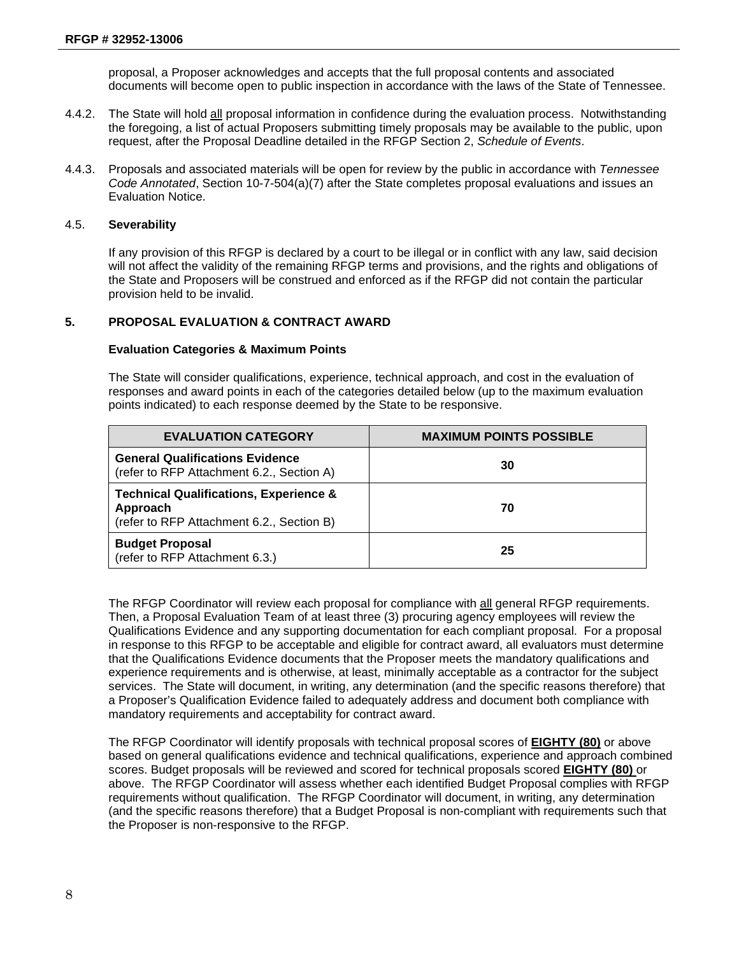proposal, a Proposer acknowledges and accepts that the full proposal contents and associated documents will become open to public inspection in accordance with the laws of the State of Tennessee.

- 4.4.2. The State will hold all proposal information in confidence during the evaluation process. Notwithstanding the foregoing, a list of actual Proposers submitting timely proposals may be available to the public, upon request, after the Proposal Deadline detailed in the RFGP Section 2, *Schedule of Events*.
- 4.4.3. Proposals and associated materials will be open for review by the public in accordance with *Tennessee Code Annotated*, Section 10-7-504(a)(7) after the State completes proposal evaluations and issues an Evaluation Notice.

#### 4.5. **Severability**

If any provision of this RFGP is declared by a court to be illegal or in conflict with any law, said decision will not affect the validity of the remaining RFGP terms and provisions, and the rights and obligations of the State and Proposers will be construed and enforced as if the RFGP did not contain the particular provision held to be invalid.

#### **5. PROPOSAL EVALUATION & CONTRACT AWARD**

#### **Evaluation Categories & Maximum Points**

The State will consider qualifications, experience, technical approach, and cost in the evaluation of responses and award points in each of the categories detailed below (up to the maximum evaluation points indicated) to each response deemed by the State to be responsive.

| <b>EVALUATION CATEGORY</b>                                                                                 | <b>MAXIMUM POINTS POSSIBLE</b> |
|------------------------------------------------------------------------------------------------------------|--------------------------------|
| <b>General Qualifications Evidence</b><br>(refer to RFP Attachment 6.2., Section A)                        | 30                             |
| <b>Technical Qualifications, Experience &amp;</b><br>Approach<br>(refer to RFP Attachment 6.2., Section B) | 70                             |
| <b>Budget Proposal</b><br>(refer to RFP Attachment 6.3.)                                                   | 25                             |

The RFGP Coordinator will review each proposal for compliance with all general RFGP requirements. Then, a Proposal Evaluation Team of at least three (3) procuring agency employees will review the Qualifications Evidence and any supporting documentation for each compliant proposal. For a proposal in response to this RFGP to be acceptable and eligible for contract award, all evaluators must determine that the Qualifications Evidence documents that the Proposer meets the mandatory qualifications and experience requirements and is otherwise, at least, minimally acceptable as a contractor for the subject services. The State will document, in writing, any determination (and the specific reasons therefore) that a Proposer's Qualification Evidence failed to adequately address and document both compliance with mandatory requirements and acceptability for contract award.

The RFGP Coordinator will identify proposals with technical proposal scores of **EIGHTY (80)** or above based on general qualifications evidence and technical qualifications, experience and approach combined scores. Budget proposals will be reviewed and scored for technical proposals scored **EIGHTY (80)** or above. The RFGP Coordinator will assess whether each identified Budget Proposal complies with RFGP requirements without qualification. The RFGP Coordinator will document, in writing, any determination (and the specific reasons therefore) that a Budget Proposal is non-compliant with requirements such that the Proposer is non-responsive to the RFGP.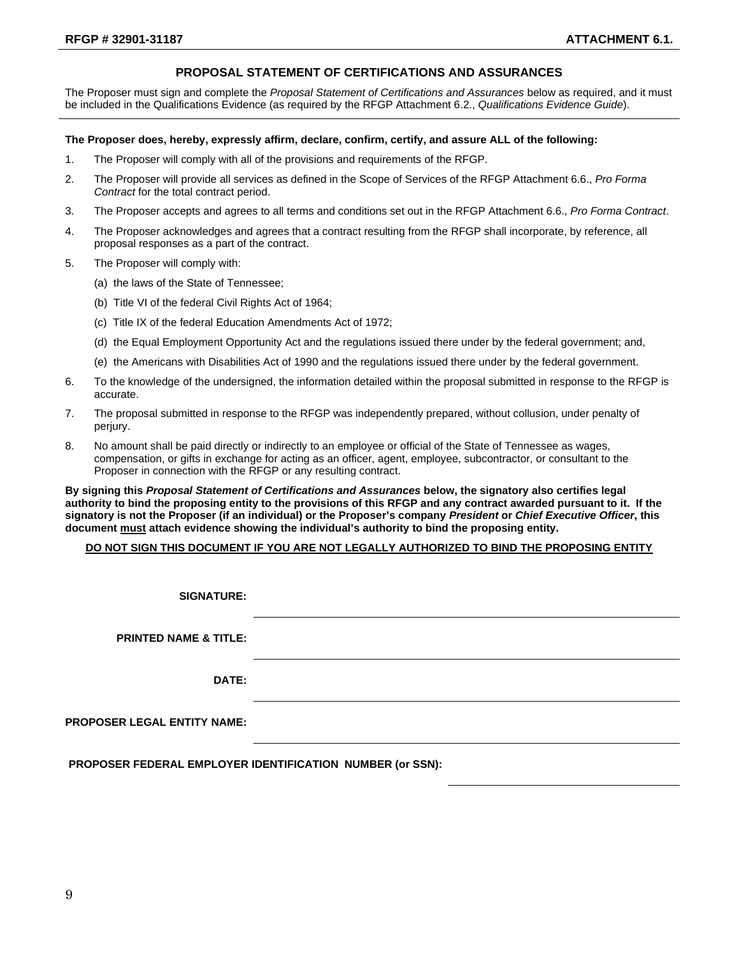#### **PROPOSAL STATEMENT OF CERTIFICATIONS AND ASSURANCES**

The Proposer must sign and complete the *Proposal Statement of Certifications and Assurances* below as required, and it must be included in the Qualifications Evidence (as required by the RFGP Attachment 6.2., *Qualifications Evidence Guide*).

#### **The Proposer does, hereby, expressly affirm, declare, confirm, certify, and assure ALL of the following:**

- 1. The Proposer will comply with all of the provisions and requirements of the RFGP.
- 2. The Proposer will provide all services as defined in the Scope of Services of the RFGP Attachment 6.6., *Pro Forma Contract* for the total contract period.
- 3. The Proposer accepts and agrees to all terms and conditions set out in the RFGP Attachment 6.6., *Pro Forma Contract*.
- 4. The Proposer acknowledges and agrees that a contract resulting from the RFGP shall incorporate, by reference, all proposal responses as a part of the contract.
- 5. The Proposer will comply with:
	- (a) the laws of the State of Tennessee;
	- (b) Title VI of the federal Civil Rights Act of 1964;
	- (c) Title IX of the federal Education Amendments Act of 1972;
	- (d) the Equal Employment Opportunity Act and the regulations issued there under by the federal government; and,
	- (e) the Americans with Disabilities Act of 1990 and the regulations issued there under by the federal government.
- 6. To the knowledge of the undersigned, the information detailed within the proposal submitted in response to the RFGP is accurate.
- 7. The proposal submitted in response to the RFGP was independently prepared, without collusion, under penalty of perjury.
- 8. No amount shall be paid directly or indirectly to an employee or official of the State of Tennessee as wages, compensation, or gifts in exchange for acting as an officer, agent, employee, subcontractor, or consultant to the Proposer in connection with the RFGP or any resulting contract.

**By signing this** *Proposal Statement of Certifications and Assurances* **below, the signatory also certifies legal authority to bind the proposing entity to the provisions of this RFGP and any contract awarded pursuant to it. If the signatory is not the Proposer (if an individual) or the Proposer's company** *President* **or** *Chief Executive Officer***, this document must attach evidence showing the individual's authority to bind the proposing entity.**

#### **DO NOT SIGN THIS DOCUMENT IF YOU ARE NOT LEGALLY AUTHORIZED TO BIND THE PROPOSING ENTITY**

| <b>SIGNATURE:</b>                  |  |
|------------------------------------|--|
| <b>PRINTED NAME &amp; TITLE:</b>   |  |
| <b>DATE:</b>                       |  |
| <b>PROPOSER LEGAL ENTITY NAME:</b> |  |
|                                    |  |

**PROPOSER FEDERAL EMPLOYER IDENTIFICATION NUMBER (or SSN):**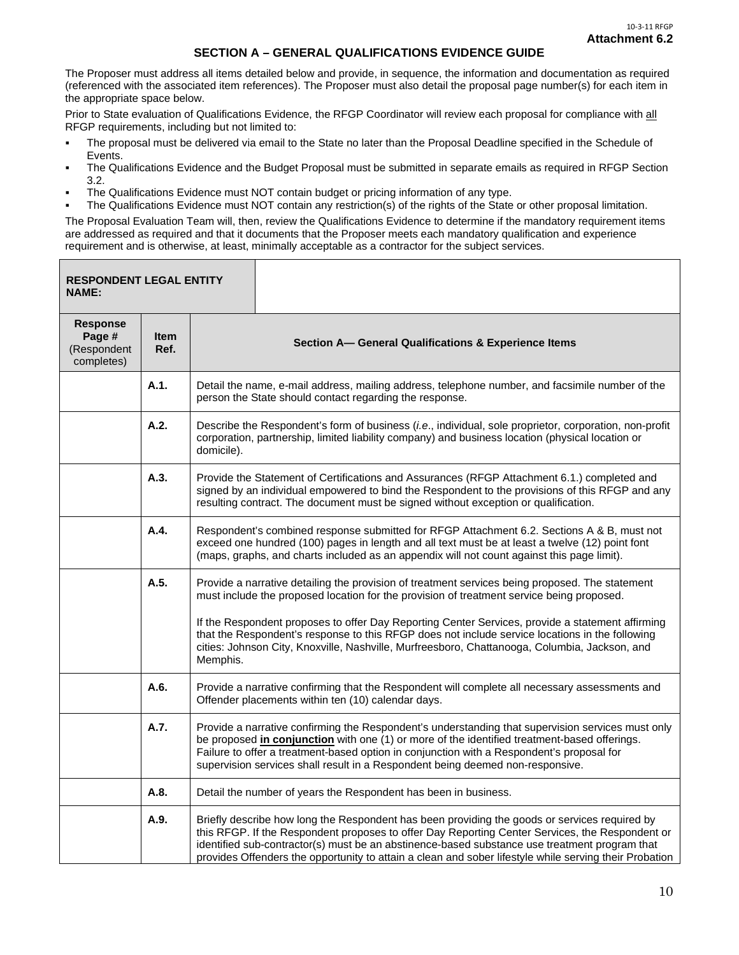#### **SECTION A – GENERAL QUALIFICATIONS EVIDENCE GUIDE**

The Proposer must address all items detailed below and provide, in sequence, the information and documentation as required (referenced with the associated item references). The Proposer must also detail the proposal page number(s) for each item in the appropriate space below.

Prior to State evaluation of Qualifications Evidence, the RFGP Coordinator will review each proposal for compliance with all RFGP requirements, including but not limited to:

- The proposal must be delivered via email to the State no later than the Proposal Deadline specified in the Schedule of Events.
- The Qualifications Evidence and the Budget Proposal must be submitted in separate emails as required in RFGP Section 3.2.
- The Qualifications Evidence must NOT contain budget or pricing information of any type.
- The Qualifications Evidence must NOT contain any restriction(s) of the rights of the State or other proposal limitation.

The Proposal Evaluation Team will, then, review the Qualifications Evidence to determine if the mandatory requirement items are addressed as required and that it documents that the Proposer meets each mandatory qualification and experience requirement and is otherwise, at least, minimally acceptable as a contractor for the subject services.

| <b>RESPONDENT LEGAL ENTITY</b><br><b>NAME:</b>         |              |                                                                                                                                                                                                                                                                                       |                                                                                                                                                                                                                                                                                                                                                                                                             |  |
|--------------------------------------------------------|--------------|---------------------------------------------------------------------------------------------------------------------------------------------------------------------------------------------------------------------------------------------------------------------------------------|-------------------------------------------------------------------------------------------------------------------------------------------------------------------------------------------------------------------------------------------------------------------------------------------------------------------------------------------------------------------------------------------------------------|--|
| <b>Response</b><br>Page #<br>(Respondent<br>completes) | Item<br>Ref. | Section A- General Qualifications & Experience Items                                                                                                                                                                                                                                  |                                                                                                                                                                                                                                                                                                                                                                                                             |  |
|                                                        | A.1.         | Detail the name, e-mail address, mailing address, telephone number, and facsimile number of the<br>person the State should contact regarding the response.                                                                                                                            |                                                                                                                                                                                                                                                                                                                                                                                                             |  |
|                                                        | A.2.         | Describe the Respondent's form of business (i.e., individual, sole proprietor, corporation, non-profit<br>corporation, partnership, limited liability company) and business location (physical location or<br>domicile).                                                              |                                                                                                                                                                                                                                                                                                                                                                                                             |  |
|                                                        | A.3.         | Provide the Statement of Certifications and Assurances (RFGP Attachment 6.1.) completed and<br>signed by an individual empowered to bind the Respondent to the provisions of this RFGP and any<br>resulting contract. The document must be signed without exception or qualification. |                                                                                                                                                                                                                                                                                                                                                                                                             |  |
|                                                        | A.4.         |                                                                                                                                                                                                                                                                                       | Respondent's combined response submitted for RFGP Attachment 6.2. Sections A & B, must not<br>exceed one hundred (100) pages in length and all text must be at least a twelve (12) point font<br>(maps, graphs, and charts included as an appendix will not count against this page limit).                                                                                                                 |  |
|                                                        | A.5.         |                                                                                                                                                                                                                                                                                       | Provide a narrative detailing the provision of treatment services being proposed. The statement<br>must include the proposed location for the provision of treatment service being proposed.                                                                                                                                                                                                                |  |
|                                                        |              | Memphis.                                                                                                                                                                                                                                                                              | If the Respondent proposes to offer Day Reporting Center Services, provide a statement affirming<br>that the Respondent's response to this RFGP does not include service locations in the following<br>cities: Johnson City, Knoxville, Nashville, Murfreesboro, Chattanooga, Columbia, Jackson, and                                                                                                        |  |
|                                                        | A.6.         |                                                                                                                                                                                                                                                                                       | Provide a narrative confirming that the Respondent will complete all necessary assessments and<br>Offender placements within ten (10) calendar days.                                                                                                                                                                                                                                                        |  |
|                                                        | A.7.         |                                                                                                                                                                                                                                                                                       | Provide a narrative confirming the Respondent's understanding that supervision services must only<br>be proposed in conjunction with one (1) or more of the identified treatment-based offerings.<br>Failure to offer a treatment-based option in conjunction with a Respondent's proposal for<br>supervision services shall result in a Respondent being deemed non-responsive.                            |  |
|                                                        | A.8.         |                                                                                                                                                                                                                                                                                       | Detail the number of years the Respondent has been in business.                                                                                                                                                                                                                                                                                                                                             |  |
|                                                        | A.9.         |                                                                                                                                                                                                                                                                                       | Briefly describe how long the Respondent has been providing the goods or services required by<br>this RFGP. If the Respondent proposes to offer Day Reporting Center Services, the Respondent or<br>identified sub-contractor(s) must be an abstinence-based substance use treatment program that<br>provides Offenders the opportunity to attain a clean and sober lifestyle while serving their Probation |  |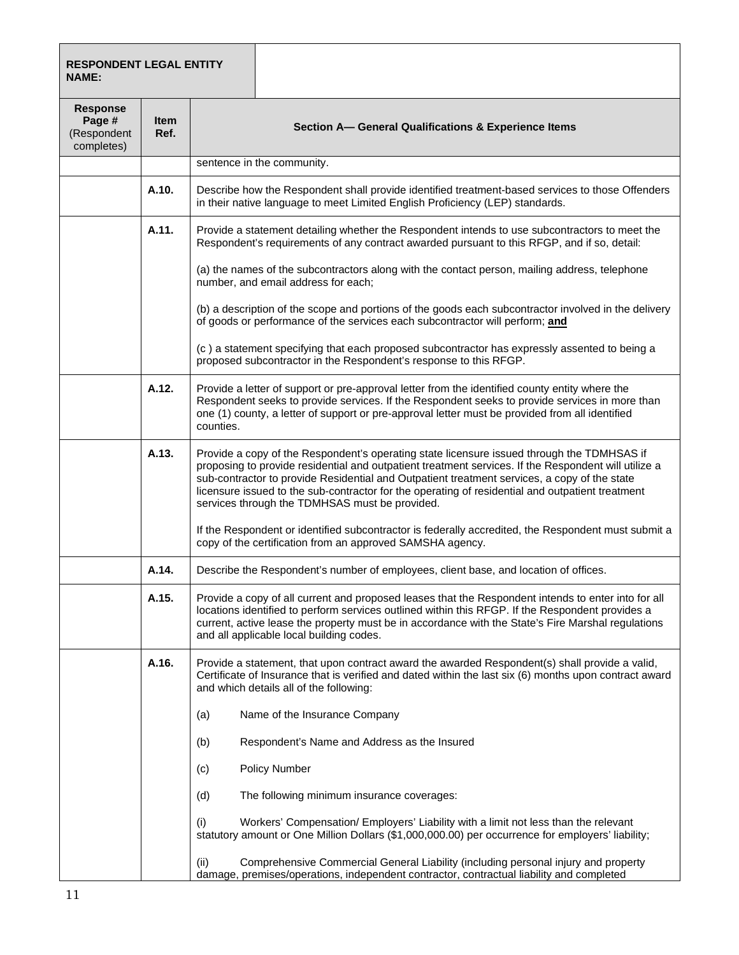| <b>RESPONDENT LEGAL ENTITY</b><br><b>NAME:</b>         |                     |                                                                                                                                                                                                                                                                                                                                                                                                                                                          |
|--------------------------------------------------------|---------------------|----------------------------------------------------------------------------------------------------------------------------------------------------------------------------------------------------------------------------------------------------------------------------------------------------------------------------------------------------------------------------------------------------------------------------------------------------------|
| <b>Response</b><br>Page #<br>(Respondent<br>completes) | <b>Item</b><br>Ref. | Section A- General Qualifications & Experience Items                                                                                                                                                                                                                                                                                                                                                                                                     |
|                                                        |                     | sentence in the community.                                                                                                                                                                                                                                                                                                                                                                                                                               |
|                                                        | A.10.               | Describe how the Respondent shall provide identified treatment-based services to those Offenders<br>in their native language to meet Limited English Proficiency (LEP) standards.                                                                                                                                                                                                                                                                        |
|                                                        | A.11.               | Provide a statement detailing whether the Respondent intends to use subcontractors to meet the<br>Respondent's requirements of any contract awarded pursuant to this RFGP, and if so, detail:                                                                                                                                                                                                                                                            |
|                                                        |                     | (a) the names of the subcontractors along with the contact person, mailing address, telephone<br>number, and email address for each;                                                                                                                                                                                                                                                                                                                     |
|                                                        |                     | (b) a description of the scope and portions of the goods each subcontractor involved in the delivery<br>of goods or performance of the services each subcontractor will perform; and                                                                                                                                                                                                                                                                     |
|                                                        |                     | (c) a statement specifying that each proposed subcontractor has expressly assented to being a<br>proposed subcontractor in the Respondent's response to this RFGP.                                                                                                                                                                                                                                                                                       |
|                                                        | A.12.               | Provide a letter of support or pre-approval letter from the identified county entity where the<br>Respondent seeks to provide services. If the Respondent seeks to provide services in more than<br>one (1) county, a letter of support or pre-approval letter must be provided from all identified<br>counties.                                                                                                                                         |
|                                                        | A.13.               | Provide a copy of the Respondent's operating state licensure issued through the TDMHSAS if<br>proposing to provide residential and outpatient treatment services. If the Respondent will utilize a<br>sub-contractor to provide Residential and Outpatient treatment services, a copy of the state<br>licensure issued to the sub-contractor for the operating of residential and outpatient treatment<br>services through the TDMHSAS must be provided. |
|                                                        |                     | If the Respondent or identified subcontractor is federally accredited, the Respondent must submit a<br>copy of the certification from an approved SAMSHA agency.                                                                                                                                                                                                                                                                                         |
|                                                        | A.14.               | Describe the Respondent's number of employees, client base, and location of offices.                                                                                                                                                                                                                                                                                                                                                                     |
|                                                        | A.15.               | Provide a copy of all current and proposed leases that the Respondent intends to enter into for all<br>locations identified to perform services outlined within this RFGP. If the Respondent provides a<br>current, active lease the property must be in accordance with the State's Fire Marshal regulations<br>and all applicable local building codes.                                                                                                |
|                                                        | A.16.               | Provide a statement, that upon contract award the awarded Respondent(s) shall provide a valid,<br>Certificate of Insurance that is verified and dated within the last six (6) months upon contract award<br>and which details all of the following:                                                                                                                                                                                                      |
|                                                        |                     | Name of the Insurance Company<br>(a)                                                                                                                                                                                                                                                                                                                                                                                                                     |
|                                                        |                     | Respondent's Name and Address as the Insured<br>(b)                                                                                                                                                                                                                                                                                                                                                                                                      |
|                                                        |                     | Policy Number<br>(c)                                                                                                                                                                                                                                                                                                                                                                                                                                     |
|                                                        |                     | The following minimum insurance coverages:<br>(d)                                                                                                                                                                                                                                                                                                                                                                                                        |
|                                                        |                     | Workers' Compensation/ Employers' Liability with a limit not less than the relevant<br>(i)<br>statutory amount or One Million Dollars (\$1,000,000.00) per occurrence for employers' liability;                                                                                                                                                                                                                                                          |
|                                                        |                     | Comprehensive Commercial General Liability (including personal injury and property<br>(ii)<br>damage, premises/operations, independent contractor, contractual liability and completed                                                                                                                                                                                                                                                                   |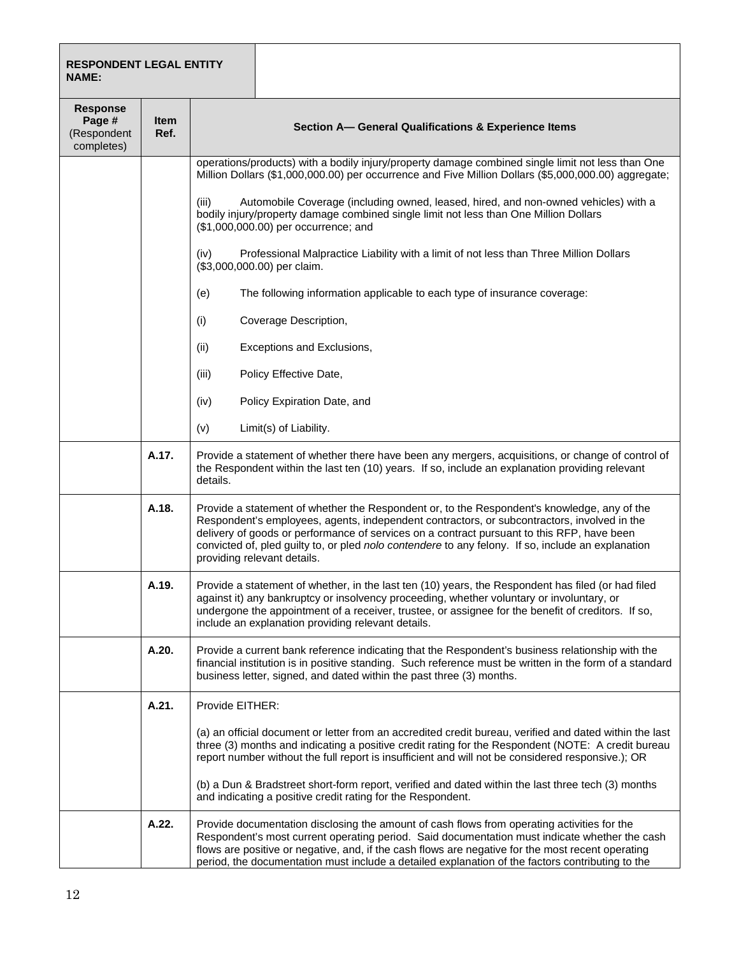| <b>RESPONDENT LEGAL ENTITY</b><br><b>NAME:</b>         |                     |                                                                                                                                                                                                                                                                                                                                                                                                                               |  |
|--------------------------------------------------------|---------------------|-------------------------------------------------------------------------------------------------------------------------------------------------------------------------------------------------------------------------------------------------------------------------------------------------------------------------------------------------------------------------------------------------------------------------------|--|
| <b>Response</b><br>Page #<br>(Respondent<br>completes) | <b>Item</b><br>Ref. | Section A- General Qualifications & Experience Items                                                                                                                                                                                                                                                                                                                                                                          |  |
|                                                        |                     | operations/products) with a bodily injury/property damage combined single limit not less than One<br>Million Dollars (\$1,000,000.00) per occurrence and Five Million Dollars (\$5,000,000.00) aggregate;                                                                                                                                                                                                                     |  |
|                                                        |                     | Automobile Coverage (including owned, leased, hired, and non-owned vehicles) with a<br>(iii)<br>bodily injury/property damage combined single limit not less than One Million Dollars<br>(\$1,000,000.00) per occurrence; and                                                                                                                                                                                                 |  |
|                                                        |                     | Professional Malpractice Liability with a limit of not less than Three Million Dollars<br>(iv)<br>(\$3,000,000.00) per claim.                                                                                                                                                                                                                                                                                                 |  |
|                                                        |                     | The following information applicable to each type of insurance coverage:<br>(e)                                                                                                                                                                                                                                                                                                                                               |  |
|                                                        |                     | (i)<br>Coverage Description,                                                                                                                                                                                                                                                                                                                                                                                                  |  |
|                                                        |                     | Exceptions and Exclusions,<br>(ii)                                                                                                                                                                                                                                                                                                                                                                                            |  |
|                                                        |                     | Policy Effective Date,<br>(iii)                                                                                                                                                                                                                                                                                                                                                                                               |  |
|                                                        |                     | (iv)<br>Policy Expiration Date, and                                                                                                                                                                                                                                                                                                                                                                                           |  |
|                                                        |                     | Limit(s) of Liability.<br>(v)                                                                                                                                                                                                                                                                                                                                                                                                 |  |
|                                                        | A.17.               | Provide a statement of whether there have been any mergers, acquisitions, or change of control of<br>the Respondent within the last ten (10) years. If so, include an explanation providing relevant<br>details.                                                                                                                                                                                                              |  |
|                                                        | A.18.               | Provide a statement of whether the Respondent or, to the Respondent's knowledge, any of the<br>Respondent's employees, agents, independent contractors, or subcontractors, involved in the<br>delivery of goods or performance of services on a contract pursuant to this RFP, have been<br>convicted of, pled guilty to, or pled nolo contendere to any felony. If so, include an explanation<br>providing relevant details. |  |
|                                                        | A.19.               | Provide a statement of whether, in the last ten (10) years, the Respondent has filed (or had filed<br>against it) any bankruptcy or insolvency proceeding, whether voluntary or involuntary, or<br>undergone the appointment of a receiver, trustee, or assignee for the benefit of creditors. If so,<br>include an explanation providing relevant details.                                                                   |  |
|                                                        | A.20.               | Provide a current bank reference indicating that the Respondent's business relationship with the<br>financial institution is in positive standing. Such reference must be written in the form of a standard<br>business letter, signed, and dated within the past three (3) months.                                                                                                                                           |  |
|                                                        | A.21.               | Provide EITHER:                                                                                                                                                                                                                                                                                                                                                                                                               |  |
|                                                        |                     | (a) an official document or letter from an accredited credit bureau, verified and dated within the last<br>three (3) months and indicating a positive credit rating for the Respondent (NOTE: A credit bureau<br>report number without the full report is insufficient and will not be considered responsive.); OR                                                                                                            |  |
|                                                        |                     | (b) a Dun & Bradstreet short-form report, verified and dated within the last three tech (3) months<br>and indicating a positive credit rating for the Respondent.                                                                                                                                                                                                                                                             |  |
|                                                        | A.22.               | Provide documentation disclosing the amount of cash flows from operating activities for the<br>Respondent's most current operating period. Said documentation must indicate whether the cash<br>flows are positive or negative, and, if the cash flows are negative for the most recent operating<br>period, the documentation must include a detailed explanation of the factors contributing to the                         |  |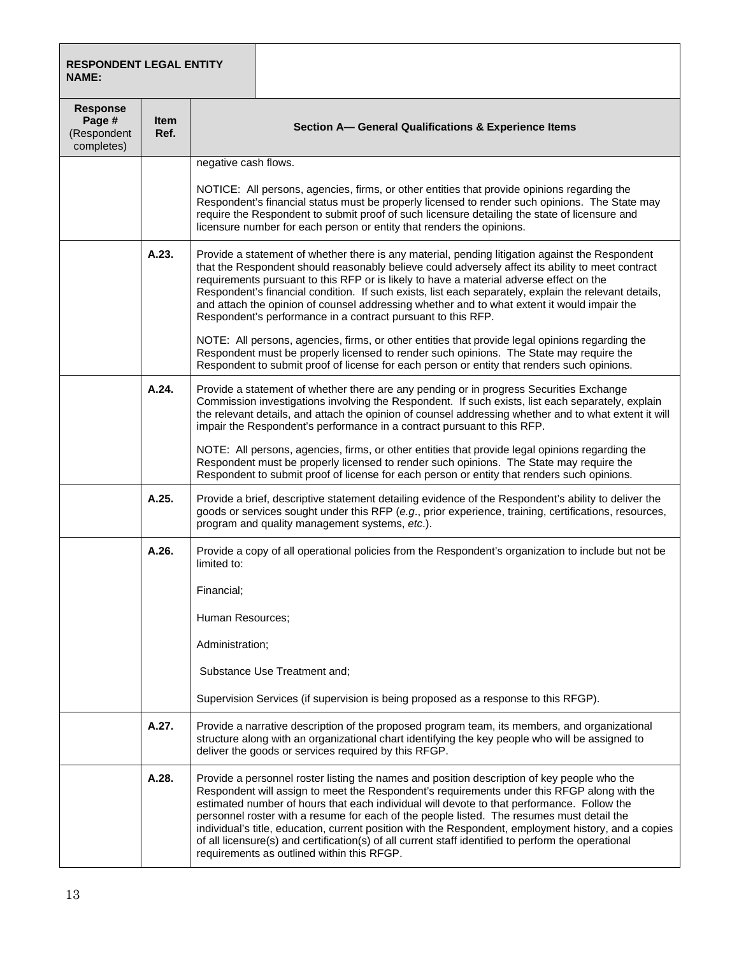| <b>RESPONDENT LEGAL ENTITY</b><br><b>NAME:</b>         |                     |                                                                                                                                                                                                                                                                                                                                                                                                                                                                                                                                                                                                                                                     |                                                                                                                                                                                                                                                                                                                                                                                                                                                                                                                                                                         |  |  |
|--------------------------------------------------------|---------------------|-----------------------------------------------------------------------------------------------------------------------------------------------------------------------------------------------------------------------------------------------------------------------------------------------------------------------------------------------------------------------------------------------------------------------------------------------------------------------------------------------------------------------------------------------------------------------------------------------------------------------------------------------------|-------------------------------------------------------------------------------------------------------------------------------------------------------------------------------------------------------------------------------------------------------------------------------------------------------------------------------------------------------------------------------------------------------------------------------------------------------------------------------------------------------------------------------------------------------------------------|--|--|
| <b>Response</b><br>Page #<br>(Respondent<br>completes) | <b>Item</b><br>Ref. | Section A- General Qualifications & Experience Items                                                                                                                                                                                                                                                                                                                                                                                                                                                                                                                                                                                                |                                                                                                                                                                                                                                                                                                                                                                                                                                                                                                                                                                         |  |  |
|                                                        |                     | negative cash flows.                                                                                                                                                                                                                                                                                                                                                                                                                                                                                                                                                                                                                                |                                                                                                                                                                                                                                                                                                                                                                                                                                                                                                                                                                         |  |  |
|                                                        |                     | NOTICE: All persons, agencies, firms, or other entities that provide opinions regarding the<br>Respondent's financial status must be properly licensed to render such opinions. The State may<br>require the Respondent to submit proof of such licensure detailing the state of licensure and<br>licensure number for each person or entity that renders the opinions.                                                                                                                                                                                                                                                                             |                                                                                                                                                                                                                                                                                                                                                                                                                                                                                                                                                                         |  |  |
|                                                        | A.23.               |                                                                                                                                                                                                                                                                                                                                                                                                                                                                                                                                                                                                                                                     | Provide a statement of whether there is any material, pending litigation against the Respondent<br>that the Respondent should reasonably believe could adversely affect its ability to meet contract<br>requirements pursuant to this RFP or is likely to have a material adverse effect on the<br>Respondent's financial condition. If such exists, list each separately, explain the relevant details,<br>and attach the opinion of counsel addressing whether and to what extent it would impair the<br>Respondent's performance in a contract pursuant to this RFP. |  |  |
|                                                        |                     |                                                                                                                                                                                                                                                                                                                                                                                                                                                                                                                                                                                                                                                     | NOTE: All persons, agencies, firms, or other entities that provide legal opinions regarding the<br>Respondent must be properly licensed to render such opinions. The State may require the<br>Respondent to submit proof of license for each person or entity that renders such opinions.                                                                                                                                                                                                                                                                               |  |  |
|                                                        | A.24.               | Provide a statement of whether there are any pending or in progress Securities Exchange<br>Commission investigations involving the Respondent. If such exists, list each separately, explain<br>the relevant details, and attach the opinion of counsel addressing whether and to what extent it will<br>impair the Respondent's performance in a contract pursuant to this RFP.                                                                                                                                                                                                                                                                    |                                                                                                                                                                                                                                                                                                                                                                                                                                                                                                                                                                         |  |  |
|                                                        |                     | NOTE: All persons, agencies, firms, or other entities that provide legal opinions regarding the<br>Respondent must be properly licensed to render such opinions. The State may require the<br>Respondent to submit proof of license for each person or entity that renders such opinions.                                                                                                                                                                                                                                                                                                                                                           |                                                                                                                                                                                                                                                                                                                                                                                                                                                                                                                                                                         |  |  |
|                                                        | A.25.               | Provide a brief, descriptive statement detailing evidence of the Respondent's ability to deliver the<br>goods or services sought under this RFP (e.g., prior experience, training, certifications, resources,<br>program and quality management systems, etc.).                                                                                                                                                                                                                                                                                                                                                                                     |                                                                                                                                                                                                                                                                                                                                                                                                                                                                                                                                                                         |  |  |
|                                                        | A.26.               | Provide a copy of all operational policies from the Respondent's organization to include but not be<br>limited to:                                                                                                                                                                                                                                                                                                                                                                                                                                                                                                                                  |                                                                                                                                                                                                                                                                                                                                                                                                                                                                                                                                                                         |  |  |
|                                                        |                     | Financial;                                                                                                                                                                                                                                                                                                                                                                                                                                                                                                                                                                                                                                          |                                                                                                                                                                                                                                                                                                                                                                                                                                                                                                                                                                         |  |  |
|                                                        |                     | Human Resources;                                                                                                                                                                                                                                                                                                                                                                                                                                                                                                                                                                                                                                    |                                                                                                                                                                                                                                                                                                                                                                                                                                                                                                                                                                         |  |  |
|                                                        |                     | Administration;                                                                                                                                                                                                                                                                                                                                                                                                                                                                                                                                                                                                                                     |                                                                                                                                                                                                                                                                                                                                                                                                                                                                                                                                                                         |  |  |
|                                                        |                     | Substance Use Treatment and;                                                                                                                                                                                                                                                                                                                                                                                                                                                                                                                                                                                                                        |                                                                                                                                                                                                                                                                                                                                                                                                                                                                                                                                                                         |  |  |
|                                                        |                     | Supervision Services (if supervision is being proposed as a response to this RFGP).                                                                                                                                                                                                                                                                                                                                                                                                                                                                                                                                                                 |                                                                                                                                                                                                                                                                                                                                                                                                                                                                                                                                                                         |  |  |
|                                                        | A.27.               | Provide a narrative description of the proposed program team, its members, and organizational<br>structure along with an organizational chart identifying the key people who will be assigned to<br>deliver the goods or services required by this RFGP.                                                                                                                                                                                                                                                                                                                                                                                            |                                                                                                                                                                                                                                                                                                                                                                                                                                                                                                                                                                         |  |  |
|                                                        | A.28.               | Provide a personnel roster listing the names and position description of key people who the<br>Respondent will assign to meet the Respondent's requirements under this RFGP along with the<br>estimated number of hours that each individual will devote to that performance. Follow the<br>personnel roster with a resume for each of the people listed. The resumes must detail the<br>individual's title, education, current position with the Respondent, employment history, and a copies<br>of all licensure(s) and certification(s) of all current staff identified to perform the operational<br>requirements as outlined within this RFGP. |                                                                                                                                                                                                                                                                                                                                                                                                                                                                                                                                                                         |  |  |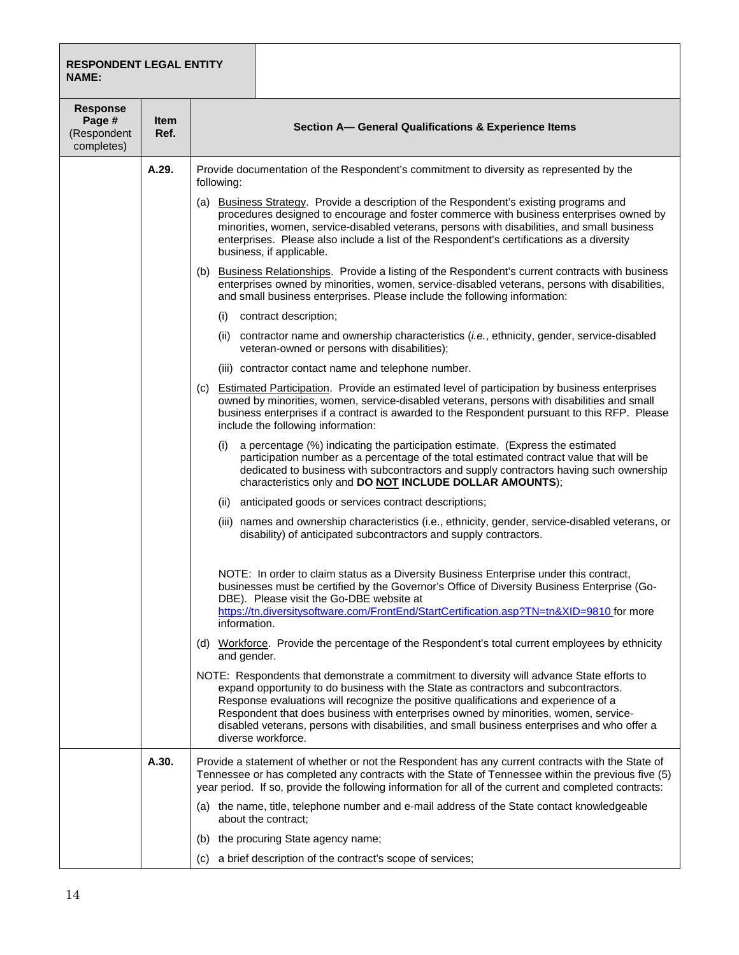#### **RESPONDENT LEGAL ENTITY NAME:**

| <b>Response</b><br>Page #<br>(Respondent<br>completes) | <b>Item</b><br>Ref. | Section A- General Qualifications & Experience Items                                                                                                                                                                                                                                                                                                                                                                                                                                  |  |  |
|--------------------------------------------------------|---------------------|---------------------------------------------------------------------------------------------------------------------------------------------------------------------------------------------------------------------------------------------------------------------------------------------------------------------------------------------------------------------------------------------------------------------------------------------------------------------------------------|--|--|
|                                                        | A.29.               | Provide documentation of the Respondent's commitment to diversity as represented by the<br>following:                                                                                                                                                                                                                                                                                                                                                                                 |  |  |
|                                                        |                     | (a) Business Strategy. Provide a description of the Respondent's existing programs and<br>procedures designed to encourage and foster commerce with business enterprises owned by<br>minorities, women, service-disabled veterans, persons with disabilities, and small business<br>enterprises. Please also include a list of the Respondent's certifications as a diversity<br>business, if applicable.                                                                             |  |  |
|                                                        |                     | (b) Business Relationships. Provide a listing of the Respondent's current contracts with business<br>enterprises owned by minorities, women, service-disabled veterans, persons with disabilities,<br>and small business enterprises. Please include the following information:                                                                                                                                                                                                       |  |  |
|                                                        |                     | contract description;<br>(i)                                                                                                                                                                                                                                                                                                                                                                                                                                                          |  |  |
|                                                        |                     | (ii) contractor name and ownership characteristics ( <i>i.e.</i> , ethnicity, gender, service-disabled<br>veteran-owned or persons with disabilities);                                                                                                                                                                                                                                                                                                                                |  |  |
|                                                        |                     | (iii) contractor contact name and telephone number.                                                                                                                                                                                                                                                                                                                                                                                                                                   |  |  |
|                                                        |                     | (c) Estimated Participation. Provide an estimated level of participation by business enterprises<br>owned by minorities, women, service-disabled veterans, persons with disabilities and small<br>business enterprises if a contract is awarded to the Respondent pursuant to this RFP. Please<br>include the following information:                                                                                                                                                  |  |  |
|                                                        |                     | a percentage (%) indicating the participation estimate. (Express the estimated<br>(i)<br>participation number as a percentage of the total estimated contract value that will be<br>dedicated to business with subcontractors and supply contractors having such ownership<br>characteristics only and DO NOT INCLUDE DOLLAR AMOUNTS);                                                                                                                                                |  |  |
|                                                        |                     | anticipated goods or services contract descriptions;<br>(ii)                                                                                                                                                                                                                                                                                                                                                                                                                          |  |  |
|                                                        |                     | (iii) names and ownership characteristics (i.e., ethnicity, gender, service-disabled veterans, or<br>disability) of anticipated subcontractors and supply contractors.                                                                                                                                                                                                                                                                                                                |  |  |
|                                                        |                     | NOTE: In order to claim status as a Diversity Business Enterprise under this contract,<br>businesses must be certified by the Governor's Office of Diversity Business Enterprise (Go-<br>DBE). Please visit the Go-DBE website at<br>https://tn.diversitysoftware.com/FrontEnd/StartCertification.asp?TN=tn&XID=9810 for more<br>information.                                                                                                                                         |  |  |
|                                                        |                     | (d) Workforce. Provide the percentage of the Respondent's total current employees by ethnicity<br>and gender.                                                                                                                                                                                                                                                                                                                                                                         |  |  |
|                                                        |                     | NOTE: Respondents that demonstrate a commitment to diversity will advance State efforts to<br>expand opportunity to do business with the State as contractors and subcontractors.<br>Response evaluations will recognize the positive qualifications and experience of a<br>Respondent that does business with enterprises owned by minorities, women, service-<br>disabled veterans, persons with disabilities, and small business enterprises and who offer a<br>diverse workforce. |  |  |
|                                                        | A.30.               | Provide a statement of whether or not the Respondent has any current contracts with the State of<br>Tennessee or has completed any contracts with the State of Tennessee within the previous five (5)<br>year period. If so, provide the following information for all of the current and completed contracts:                                                                                                                                                                        |  |  |
|                                                        |                     | (a) the name, title, telephone number and e-mail address of the State contact knowledgeable<br>about the contract;                                                                                                                                                                                                                                                                                                                                                                    |  |  |
|                                                        |                     | (b) the procuring State agency name;                                                                                                                                                                                                                                                                                                                                                                                                                                                  |  |  |
|                                                        |                     | a brief description of the contract's scope of services;<br>(C)                                                                                                                                                                                                                                                                                                                                                                                                                       |  |  |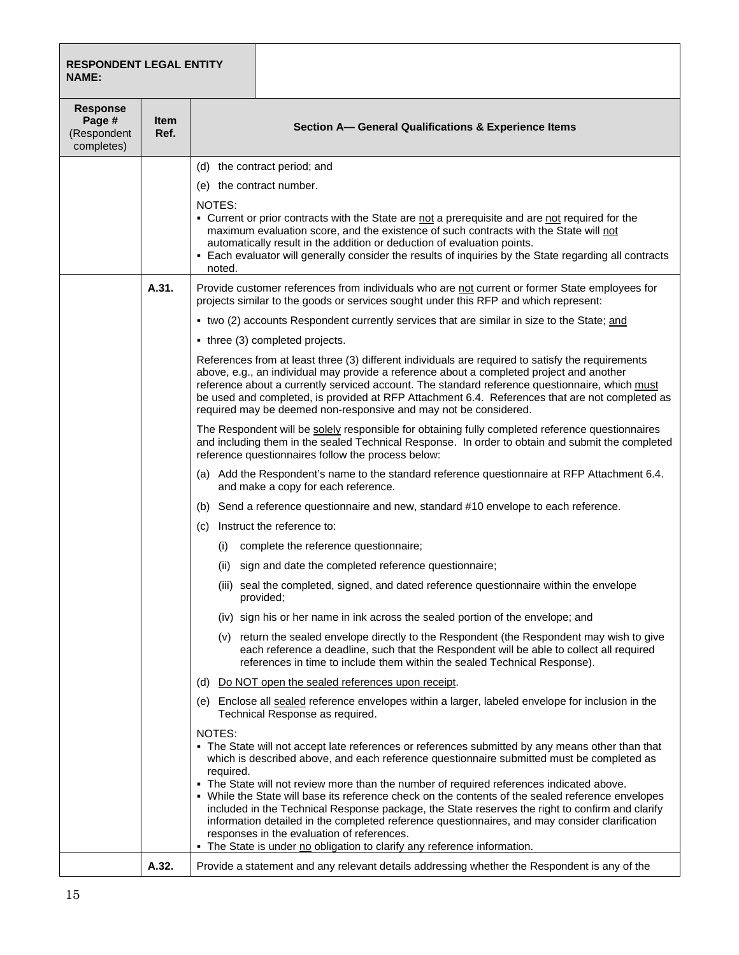| <b>RESPONDENT LEGAL ENTITY</b><br>NAME:                |                     |                                                                                                                                                                                                                                                                                                                                                                                                                                                                                                                                                                                                                                                                          |  |  |
|--------------------------------------------------------|---------------------|--------------------------------------------------------------------------------------------------------------------------------------------------------------------------------------------------------------------------------------------------------------------------------------------------------------------------------------------------------------------------------------------------------------------------------------------------------------------------------------------------------------------------------------------------------------------------------------------------------------------------------------------------------------------------|--|--|
| <b>Response</b><br>Page #<br>(Respondent<br>completes) | <b>Item</b><br>Ref. | Section A- General Qualifications & Experience Items                                                                                                                                                                                                                                                                                                                                                                                                                                                                                                                                                                                                                     |  |  |
|                                                        |                     | (d) the contract period; and                                                                                                                                                                                                                                                                                                                                                                                                                                                                                                                                                                                                                                             |  |  |
|                                                        |                     | (e) the contract number.                                                                                                                                                                                                                                                                                                                                                                                                                                                                                                                                                                                                                                                 |  |  |
|                                                        |                     | NOTES:<br>- Current or prior contracts with the State are not a prerequisite and are not required for the<br>maximum evaluation score, and the existence of such contracts with the State will not<br>automatically result in the addition or deduction of evaluation points.<br>- Each evaluator will generally consider the results of inquiries by the State regarding all contracts<br>noted.                                                                                                                                                                                                                                                                        |  |  |
|                                                        | A.31.               | Provide customer references from individuals who are not current or former State employees for<br>projects similar to the goods or services sought under this RFP and which represent:                                                                                                                                                                                                                                                                                                                                                                                                                                                                                   |  |  |
|                                                        |                     | • two (2) accounts Respondent currently services that are similar in size to the State; and                                                                                                                                                                                                                                                                                                                                                                                                                                                                                                                                                                              |  |  |
|                                                        |                     | • three (3) completed projects.                                                                                                                                                                                                                                                                                                                                                                                                                                                                                                                                                                                                                                          |  |  |
|                                                        |                     | References from at least three (3) different individuals are required to satisfy the requirements<br>above, e.g., an individual may provide a reference about a completed project and another<br>reference about a currently serviced account. The standard reference questionnaire, which must<br>be used and completed, is provided at RFP Attachment 6.4. References that are not completed as<br>required may be deemed non-responsive and may not be considered.                                                                                                                                                                                                    |  |  |
|                                                        |                     | The Respondent will be solely responsible for obtaining fully completed reference questionnaires<br>and including them in the sealed Technical Response. In order to obtain and submit the completed<br>reference questionnaires follow the process below:                                                                                                                                                                                                                                                                                                                                                                                                               |  |  |
|                                                        |                     | (a) Add the Respondent's name to the standard reference questionnaire at RFP Attachment 6.4.<br>and make a copy for each reference.                                                                                                                                                                                                                                                                                                                                                                                                                                                                                                                                      |  |  |
|                                                        |                     | (b) Send a reference questionnaire and new, standard #10 envelope to each reference.                                                                                                                                                                                                                                                                                                                                                                                                                                                                                                                                                                                     |  |  |
|                                                        |                     | Instruct the reference to:<br>(C)                                                                                                                                                                                                                                                                                                                                                                                                                                                                                                                                                                                                                                        |  |  |
|                                                        |                     | complete the reference questionnaire;<br>(1)                                                                                                                                                                                                                                                                                                                                                                                                                                                                                                                                                                                                                             |  |  |
|                                                        |                     | sign and date the completed reference questionnaire;<br>(ii)                                                                                                                                                                                                                                                                                                                                                                                                                                                                                                                                                                                                             |  |  |
|                                                        |                     | (iii) seal the completed, signed, and dated reference questionnaire within the envelope<br>provided;                                                                                                                                                                                                                                                                                                                                                                                                                                                                                                                                                                     |  |  |
|                                                        |                     | (iv) sign his or her name in ink across the sealed portion of the envelope; and                                                                                                                                                                                                                                                                                                                                                                                                                                                                                                                                                                                          |  |  |
|                                                        |                     | (v) return the sealed envelope directly to the Respondent (the Respondent may wish to give<br>each reference a deadline, such that the Respondent will be able to collect all required<br>references in time to include them within the sealed Technical Response).                                                                                                                                                                                                                                                                                                                                                                                                      |  |  |
|                                                        |                     | (d) Do NOT open the sealed references upon receipt.                                                                                                                                                                                                                                                                                                                                                                                                                                                                                                                                                                                                                      |  |  |
|                                                        |                     | (e) Enclose all sealed reference envelopes within a larger, labeled envelope for inclusion in the<br>Technical Response as required.                                                                                                                                                                                                                                                                                                                                                                                                                                                                                                                                     |  |  |
|                                                        |                     | NOTES:<br>• The State will not accept late references or references submitted by any means other than that<br>which is described above, and each reference questionnaire submitted must be completed as<br>required.<br>- The State will not review more than the number of required references indicated above.<br>. While the State will base its reference check on the contents of the sealed reference envelopes<br>included in the Technical Response package, the State reserves the right to confirm and clarify<br>information detailed in the completed reference questionnaires, and may consider clarification<br>responses in the evaluation of references. |  |  |
|                                                        | A.32.               | - The State is under no obligation to clarify any reference information.<br>Provide a statement and any relevant details addressing whether the Respondent is any of the                                                                                                                                                                                                                                                                                                                                                                                                                                                                                                 |  |  |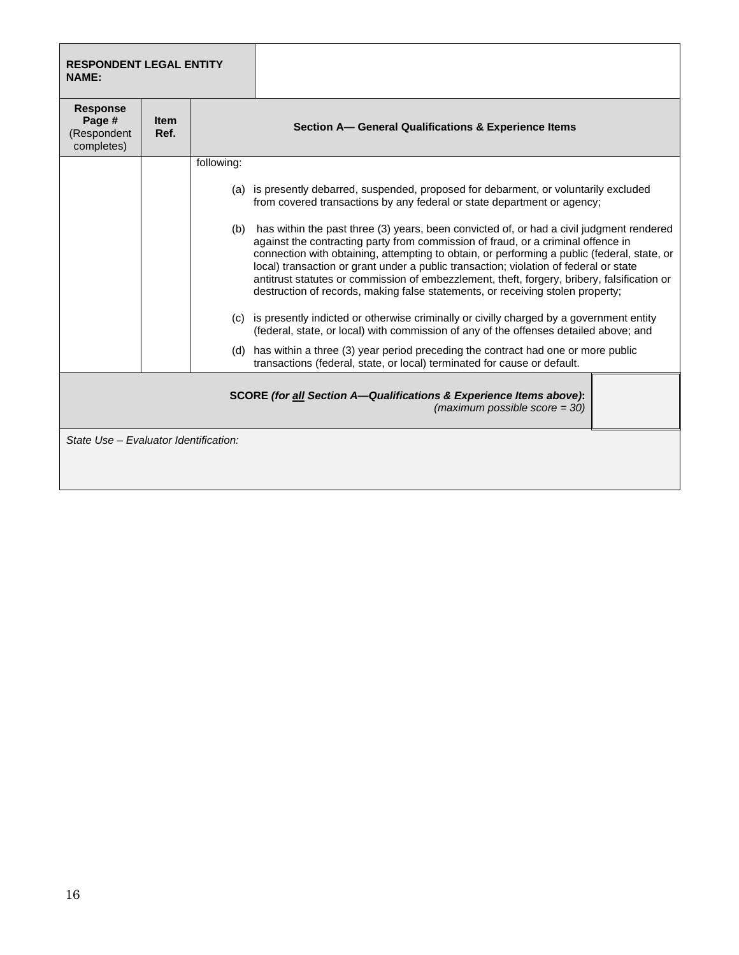| <b>RESPONDENT LEGAL ENTITY</b><br><b>NAME:</b>         |                     |            |                                                                                                                                                                                                                                                                                                                                                                                                                                                                                                                                                       |
|--------------------------------------------------------|---------------------|------------|-------------------------------------------------------------------------------------------------------------------------------------------------------------------------------------------------------------------------------------------------------------------------------------------------------------------------------------------------------------------------------------------------------------------------------------------------------------------------------------------------------------------------------------------------------|
| <b>Response</b><br>Page #<br>(Respondent<br>completes) | <b>Item</b><br>Ref. |            | Section A- General Qualifications & Experience Items                                                                                                                                                                                                                                                                                                                                                                                                                                                                                                  |
|                                                        |                     | following: |                                                                                                                                                                                                                                                                                                                                                                                                                                                                                                                                                       |
|                                                        |                     |            | (a) is presently debarred, suspended, proposed for debarment, or voluntarily excluded<br>from covered transactions by any federal or state department or agency;                                                                                                                                                                                                                                                                                                                                                                                      |
|                                                        |                     | (b)        | has within the past three (3) years, been convicted of, or had a civil judgment rendered<br>against the contracting party from commission of fraud, or a criminal offence in<br>connection with obtaining, attempting to obtain, or performing a public (federal, state, or<br>local) transaction or grant under a public transaction; violation of federal or state<br>antitrust statutes or commission of embezzlement, theft, forgery, bribery, falsification or<br>destruction of records, making false statements, or receiving stolen property; |
|                                                        |                     |            | (c) is presently indicted or otherwise criminally or civilly charged by a government entity<br>(federal, state, or local) with commission of any of the offenses detailed above; and                                                                                                                                                                                                                                                                                                                                                                  |
|                                                        |                     |            | (d) has within a three (3) year period preceding the contract had one or more public<br>transactions (federal, state, or local) terminated for cause or default.                                                                                                                                                                                                                                                                                                                                                                                      |
|                                                        |                     |            | <b>SCORE (for all Section A—Qualifications &amp; Experience Items above):</b><br>(maximum possible score = $30$ )                                                                                                                                                                                                                                                                                                                                                                                                                                     |
| State Use - Evaluator Identification:                  |                     |            |                                                                                                                                                                                                                                                                                                                                                                                                                                                                                                                                                       |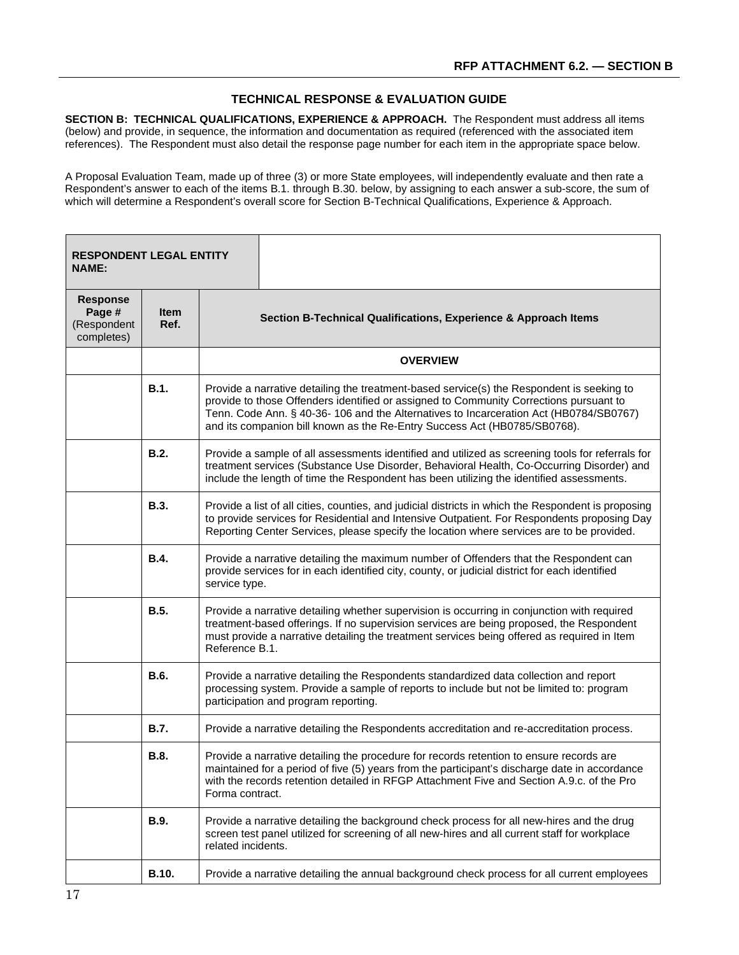## **TECHNICAL RESPONSE & EVALUATION GUIDE**

**SECTION B: TECHNICAL QUALIFICATIONS, EXPERIENCE & APPROACH.** The Respondent must address all items (below) and provide, in sequence, the information and documentation as required (referenced with the associated item references). The Respondent must also detail the response page number for each item in the appropriate space below.

A Proposal Evaluation Team, made up of three (3) or more State employees, will independently evaluate and then rate a Respondent's answer to each of the items B.1. through B.30. below, by assigning to each answer a sub-score, the sum of which will determine a Respondent's overall score for Section B-Technical Qualifications, Experience & Approach.

| <b>RESPONDENT LEGAL ENTITY</b><br><b>NAME:</b>         |                     |                                                                                                                                                                                                                                                                                                          |                                                                                                                                                                                                                                                                                                                                                            |  |
|--------------------------------------------------------|---------------------|----------------------------------------------------------------------------------------------------------------------------------------------------------------------------------------------------------------------------------------------------------------------------------------------------------|------------------------------------------------------------------------------------------------------------------------------------------------------------------------------------------------------------------------------------------------------------------------------------------------------------------------------------------------------------|--|
| <b>Response</b><br>Page #<br>(Respondent<br>completes) | <b>Item</b><br>Ref. |                                                                                                                                                                                                                                                                                                          | Section B-Technical Qualifications, Experience & Approach Items                                                                                                                                                                                                                                                                                            |  |
|                                                        |                     |                                                                                                                                                                                                                                                                                                          | <b>OVERVIEW</b>                                                                                                                                                                                                                                                                                                                                            |  |
|                                                        | <b>B.1.</b>         |                                                                                                                                                                                                                                                                                                          | Provide a narrative detailing the treatment-based service(s) the Respondent is seeking to<br>provide to those Offenders identified or assigned to Community Corrections pursuant to<br>Tenn. Code Ann. § 40-36- 106 and the Alternatives to Incarceration Act (HB0784/SB0767)<br>and its companion bill known as the Re-Entry Success Act (HB0785/SB0768). |  |
|                                                        | <b>B.2.</b>         |                                                                                                                                                                                                                                                                                                          | Provide a sample of all assessments identified and utilized as screening tools for referrals for<br>treatment services (Substance Use Disorder, Behavioral Health, Co-Occurring Disorder) and<br>include the length of time the Respondent has been utilizing the identified assessments.                                                                  |  |
|                                                        | <b>B.3.</b>         | Provide a list of all cities, counties, and judicial districts in which the Respondent is proposing<br>to provide services for Residential and Intensive Outpatient. For Respondents proposing Day<br>Reporting Center Services, please specify the location where services are to be provided.          |                                                                                                                                                                                                                                                                                                                                                            |  |
|                                                        | <b>B.4.</b>         | Provide a narrative detailing the maximum number of Offenders that the Respondent can<br>provide services for in each identified city, county, or judicial district for each identified<br>service type.                                                                                                 |                                                                                                                                                                                                                                                                                                                                                            |  |
|                                                        | <b>B.5.</b>         | Provide a narrative detailing whether supervision is occurring in conjunction with required<br>treatment-based offerings. If no supervision services are being proposed, the Respondent<br>must provide a narrative detailing the treatment services being offered as required in Item<br>Reference B.1. |                                                                                                                                                                                                                                                                                                                                                            |  |
|                                                        | B.6.                | Provide a narrative detailing the Respondents standardized data collection and report<br>processing system. Provide a sample of reports to include but not be limited to: program<br>participation and program reporting.                                                                                |                                                                                                                                                                                                                                                                                                                                                            |  |
|                                                        | <b>B.7.</b>         | Provide a narrative detailing the Respondents accreditation and re-accreditation process.                                                                                                                                                                                                                |                                                                                                                                                                                                                                                                                                                                                            |  |
|                                                        | <b>B.8.</b>         | Forma contract.                                                                                                                                                                                                                                                                                          | Provide a narrative detailing the procedure for records retention to ensure records are<br>maintained for a period of five (5) years from the participant's discharge date in accordance<br>with the records retention detailed in RFGP Attachment Five and Section A.9.c. of the Pro                                                                      |  |
|                                                        | B.9.                | related incidents.                                                                                                                                                                                                                                                                                       | Provide a narrative detailing the background check process for all new-hires and the drug<br>screen test panel utilized for screening of all new-hires and all current staff for workplace                                                                                                                                                                 |  |
|                                                        | B.10.               |                                                                                                                                                                                                                                                                                                          | Provide a narrative detailing the annual background check process for all current employees                                                                                                                                                                                                                                                                |  |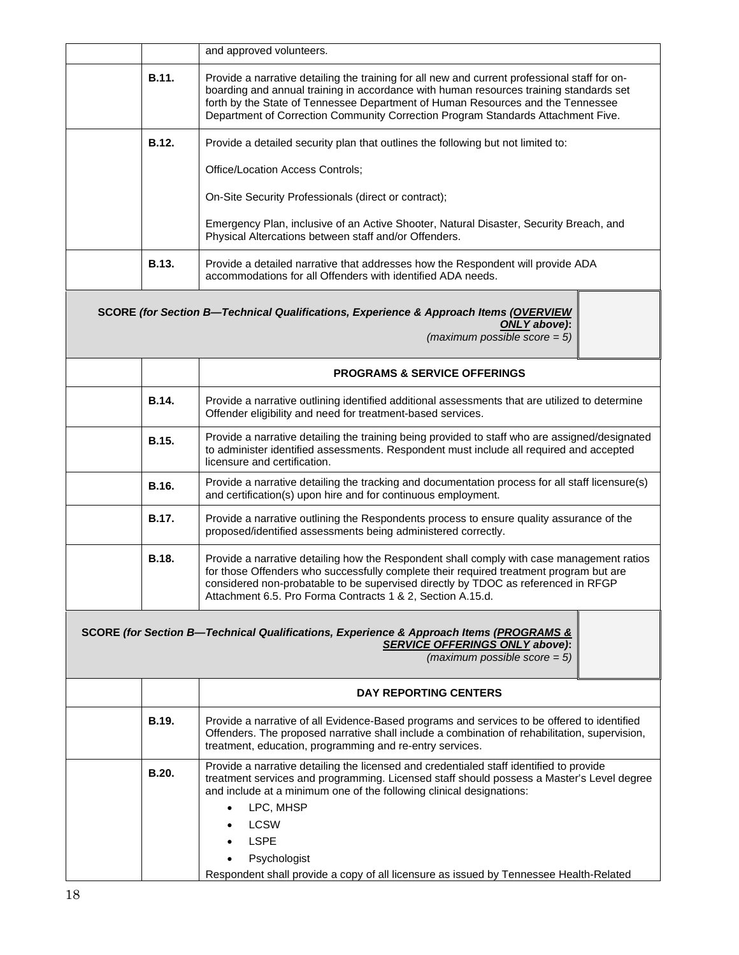|              | and approved volunteers.                                                                                                                                                                                                                                                                                                                                                                                          |  |  |  |
|--------------|-------------------------------------------------------------------------------------------------------------------------------------------------------------------------------------------------------------------------------------------------------------------------------------------------------------------------------------------------------------------------------------------------------------------|--|--|--|
| B.11.        | Provide a narrative detailing the training for all new and current professional staff for on-<br>boarding and annual training in accordance with human resources training standards set<br>forth by the State of Tennessee Department of Human Resources and the Tennessee<br>Department of Correction Community Correction Program Standards Attachment Five.                                                    |  |  |  |
| B.12.        | Provide a detailed security plan that outlines the following but not limited to:                                                                                                                                                                                                                                                                                                                                  |  |  |  |
|              | Office/Location Access Controls;                                                                                                                                                                                                                                                                                                                                                                                  |  |  |  |
|              | On-Site Security Professionals (direct or contract);                                                                                                                                                                                                                                                                                                                                                              |  |  |  |
|              | Emergency Plan, inclusive of an Active Shooter, Natural Disaster, Security Breach, and<br>Physical Altercations between staff and/or Offenders.                                                                                                                                                                                                                                                                   |  |  |  |
| B.13.        | Provide a detailed narrative that addresses how the Respondent will provide ADA<br>accommodations for all Offenders with identified ADA needs.                                                                                                                                                                                                                                                                    |  |  |  |
|              | SCORE (for Section B-Technical Qualifications, Experience & Approach Items (OVERVIEW<br>ONLY above):<br>(maximum possible score $= 5$ )                                                                                                                                                                                                                                                                           |  |  |  |
|              | <b>PROGRAMS &amp; SERVICE OFFERINGS</b>                                                                                                                                                                                                                                                                                                                                                                           |  |  |  |
| B.14.        | Provide a narrative outlining identified additional assessments that are utilized to determine<br>Offender eligibility and need for treatment-based services.                                                                                                                                                                                                                                                     |  |  |  |
| B.15.        | Provide a narrative detailing the training being provided to staff who are assigned/designated<br>to administer identified assessments. Respondent must include all required and accepted<br>licensure and certification.                                                                                                                                                                                         |  |  |  |
| B.16.        | Provide a narrative detailing the tracking and documentation process for all staff licensure(s)<br>and certification(s) upon hire and for continuous employment.                                                                                                                                                                                                                                                  |  |  |  |
| B.17.        | Provide a narrative outlining the Respondents process to ensure quality assurance of the<br>proposed/identified assessments being administered correctly.                                                                                                                                                                                                                                                         |  |  |  |
| <b>B.18.</b> | Provide a narrative detailing how the Respondent shall comply with case management ratios<br>for those Offenders who successfully complete their required treatment program but are<br>considered non-probatable to be supervised directly by TDOC as referenced in RFGP<br>Attachment 6.5. Pro Forma Contracts 1 & 2, Section A.15.d.                                                                            |  |  |  |
|              | SCORE (for Section B-Technical Qualifications, Experience & Approach Items (PROGRAMS &<br><b>SERVICE OFFERINGS ONLY above):</b><br>(maximum possible score $= 5$ )                                                                                                                                                                                                                                                |  |  |  |
|              | <b>DAY REPORTING CENTERS</b>                                                                                                                                                                                                                                                                                                                                                                                      |  |  |  |
| <b>B.19.</b> | Provide a narrative of all Evidence-Based programs and services to be offered to identified<br>Offenders. The proposed narrative shall include a combination of rehabilitation, supervision,<br>treatment, education, programming and re-entry services.                                                                                                                                                          |  |  |  |
| B.20.        | Provide a narrative detailing the licensed and credentialed staff identified to provide<br>treatment services and programming. Licensed staff should possess a Master's Level degree<br>and include at a minimum one of the following clinical designations:<br>LPC, MHSP<br><b>LCSW</b><br><b>LSPE</b><br>Psychologist<br>Respondent shall provide a copy of all licensure as issued by Tennessee Health-Related |  |  |  |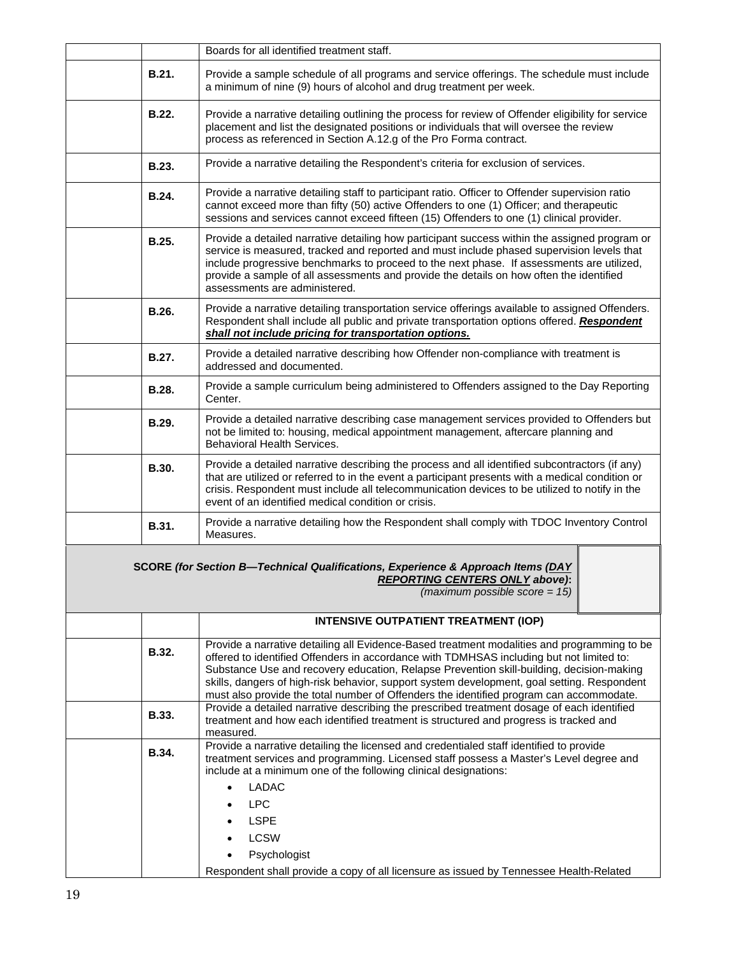|              | Boards for all identified treatment staff.                                                                                                                                                                                                                                                                                                                                                                                                                                    |
|--------------|-------------------------------------------------------------------------------------------------------------------------------------------------------------------------------------------------------------------------------------------------------------------------------------------------------------------------------------------------------------------------------------------------------------------------------------------------------------------------------|
| B.21.        | Provide a sample schedule of all programs and service offerings. The schedule must include<br>a minimum of nine (9) hours of alcohol and drug treatment per week.                                                                                                                                                                                                                                                                                                             |
| B.22.        | Provide a narrative detailing outlining the process for review of Offender eligibility for service<br>placement and list the designated positions or individuals that will oversee the review<br>process as referenced in Section A.12.g of the Pro Forma contract.                                                                                                                                                                                                           |
| <b>B.23.</b> | Provide a narrative detailing the Respondent's criteria for exclusion of services.                                                                                                                                                                                                                                                                                                                                                                                            |
| B.24.        | Provide a narrative detailing staff to participant ratio. Officer to Offender supervision ratio<br>cannot exceed more than fifty (50) active Offenders to one (1) Officer; and therapeutic<br>sessions and services cannot exceed fifteen (15) Offenders to one (1) clinical provider.                                                                                                                                                                                        |
| <b>B.25.</b> | Provide a detailed narrative detailing how participant success within the assigned program or<br>service is measured, tracked and reported and must include phased supervision levels that<br>include progressive benchmarks to proceed to the next phase. If assessments are utilized,<br>provide a sample of all assessments and provide the details on how often the identified<br>assessments are administered.                                                           |
| B.26.        | Provide a narrative detailing transportation service offerings available to assigned Offenders.<br>Respondent shall include all public and private transportation options offered. Respondent<br>shall not include pricing for transportation options.                                                                                                                                                                                                                        |
| B.27.        | Provide a detailed narrative describing how Offender non-compliance with treatment is<br>addressed and documented.                                                                                                                                                                                                                                                                                                                                                            |
| B.28.        | Provide a sample curriculum being administered to Offenders assigned to the Day Reporting<br>Center.                                                                                                                                                                                                                                                                                                                                                                          |
| B.29.        | Provide a detailed narrative describing case management services provided to Offenders but<br>not be limited to: housing, medical appointment management, aftercare planning and<br>Behavioral Health Services.                                                                                                                                                                                                                                                               |
| B.30.        | Provide a detailed narrative describing the process and all identified subcontractors (if any)<br>that are utilized or referred to in the event a participant presents with a medical condition or<br>crisis. Respondent must include all telecommunication devices to be utilized to notify in the<br>event of an identified medical condition or crisis.                                                                                                                    |
| B.31.        | Provide a narrative detailing how the Respondent shall comply with TDOC Inventory Control<br>Measures.                                                                                                                                                                                                                                                                                                                                                                        |
|              | SCORE (for Section B-Technical Qualifications, Experience & Approach Items (DAY<br><b>REPORTING CENTERS ONLY above):</b><br>$(maximum possible score = 15)$                                                                                                                                                                                                                                                                                                                   |
|              | <b>INTENSIVE OUTPATIENT TREATMENT (IOP)</b>                                                                                                                                                                                                                                                                                                                                                                                                                                   |
| B.32.        | Provide a narrative detailing all Evidence-Based treatment modalities and programming to be<br>offered to identified Offenders in accordance with TDMHSAS including but not limited to:<br>Substance Use and recovery education, Relapse Prevention skill-building, decision-making<br>skills, dangers of high-risk behavior, support system development, goal setting. Respondent<br>must also provide the total number of Offenders the identified program can accommodate. |
| <b>B.33.</b> | Provide a detailed narrative describing the prescribed treatment dosage of each identified<br>treatment and how each identified treatment is structured and progress is tracked and<br>measured.                                                                                                                                                                                                                                                                              |
| B.34.        | Provide a narrative detailing the licensed and credentialed staff identified to provide<br>treatment services and programming. Licensed staff possess a Master's Level degree and<br>include at a minimum one of the following clinical designations:<br><b>LADAC</b><br>$\bullet$<br><b>LPC</b><br><b>LSPE</b><br><b>LCSW</b>                                                                                                                                                |
|              | Psychologist                                                                                                                                                                                                                                                                                                                                                                                                                                                                  |
|              | Respondent shall provide a copy of all licensure as issued by Tennessee Health-Related                                                                                                                                                                                                                                                                                                                                                                                        |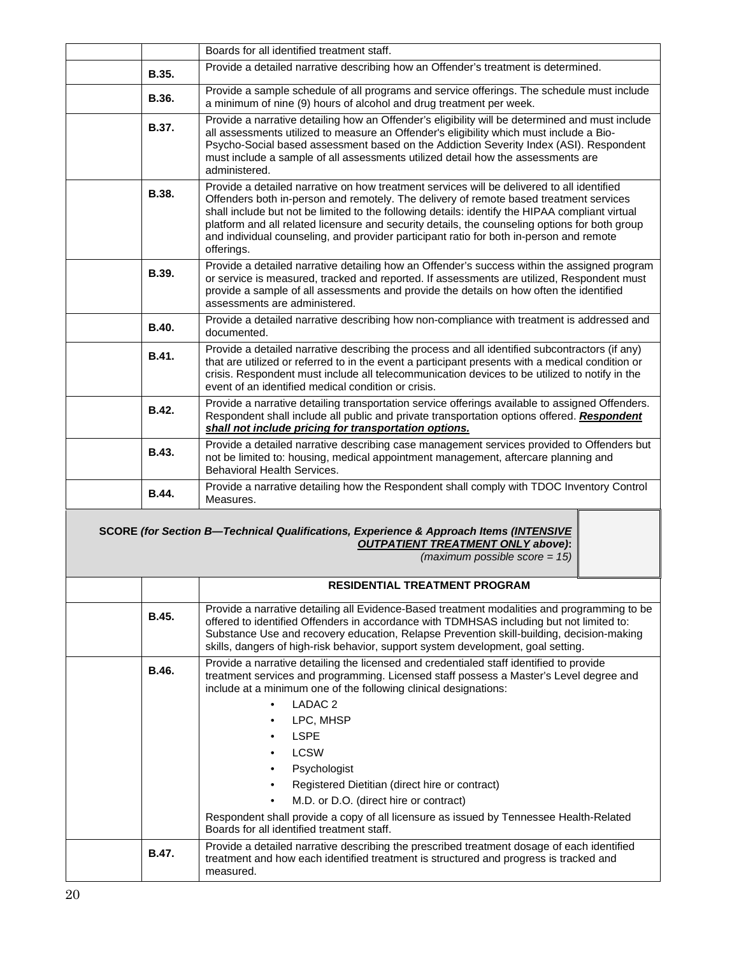|              | Boards for all identified treatment staff.                                                                                                                                                                                                                                                                                                                                                                                                                                                                                                                                                                                                                                                         |
|--------------|----------------------------------------------------------------------------------------------------------------------------------------------------------------------------------------------------------------------------------------------------------------------------------------------------------------------------------------------------------------------------------------------------------------------------------------------------------------------------------------------------------------------------------------------------------------------------------------------------------------------------------------------------------------------------------------------------|
| <b>B.35.</b> | Provide a detailed narrative describing how an Offender's treatment is determined.                                                                                                                                                                                                                                                                                                                                                                                                                                                                                                                                                                                                                 |
| B.36.        | Provide a sample schedule of all programs and service offerings. The schedule must include<br>a minimum of nine (9) hours of alcohol and drug treatment per week.                                                                                                                                                                                                                                                                                                                                                                                                                                                                                                                                  |
| <b>B.37.</b> | Provide a narrative detailing how an Offender's eligibility will be determined and must include<br>all assessments utilized to measure an Offender's eligibility which must include a Bio-<br>Psycho-Social based assessment based on the Addiction Severity Index (ASI). Respondent<br>must include a sample of all assessments utilized detail how the assessments are<br>administered.                                                                                                                                                                                                                                                                                                          |
| B.38.        | Provide a detailed narrative on how treatment services will be delivered to all identified<br>Offenders both in-person and remotely. The delivery of remote based treatment services<br>shall include but not be limited to the following details: identify the HIPAA compliant virtual<br>platform and all related licensure and security details, the counseling options for both group<br>and individual counseling, and provider participant ratio for both in-person and remote<br>offerings.                                                                                                                                                                                                 |
| B.39.        | Provide a detailed narrative detailing how an Offender's success within the assigned program<br>or service is measured, tracked and reported. If assessments are utilized, Respondent must<br>provide a sample of all assessments and provide the details on how often the identified<br>assessments are administered.                                                                                                                                                                                                                                                                                                                                                                             |
| <b>B.40.</b> | Provide a detailed narrative describing how non-compliance with treatment is addressed and<br>documented.                                                                                                                                                                                                                                                                                                                                                                                                                                                                                                                                                                                          |
| B.41.        | Provide a detailed narrative describing the process and all identified subcontractors (if any)<br>that are utilized or referred to in the event a participant presents with a medical condition or<br>crisis. Respondent must include all telecommunication devices to be utilized to notify in the<br>event of an identified medical condition or crisis.                                                                                                                                                                                                                                                                                                                                         |
| B.42.        | Provide a narrative detailing transportation service offerings available to assigned Offenders.<br>Respondent shall include all public and private transportation options offered. Respondent<br>shall not include pricing for transportation options.                                                                                                                                                                                                                                                                                                                                                                                                                                             |
| <b>B.43.</b> | Provide a detailed narrative describing case management services provided to Offenders but<br>not be limited to: housing, medical appointment management, aftercare planning and<br>Behavioral Health Services.                                                                                                                                                                                                                                                                                                                                                                                                                                                                                    |
| B.44.        | Provide a narrative detailing how the Respondent shall comply with TDOC Inventory Control<br>Measures.                                                                                                                                                                                                                                                                                                                                                                                                                                                                                                                                                                                             |
|              | SCORE (for Section B-Technical Qualifications, Experience & Approach Items (INTENSIVE<br><b>OUTPATIENT TREATMENT ONLY above):</b><br>(maximum possible score = $15$ )                                                                                                                                                                                                                                                                                                                                                                                                                                                                                                                              |
|              | <b>RESIDENTIAL TREATMENT PROGRAM</b>                                                                                                                                                                                                                                                                                                                                                                                                                                                                                                                                                                                                                                                               |
| <b>B.45.</b> | Provide a narrative detailing all Evidence-Based treatment modalities and programming to be<br>offered to identified Offenders in accordance with TDMHSAS including but not limited to:<br>Substance Use and recovery education, Relapse Prevention skill-building, decision-making<br>skills, dangers of high-risk behavior, support system development, goal setting.                                                                                                                                                                                                                                                                                                                            |
| B.46.        | Provide a narrative detailing the licensed and credentialed staff identified to provide<br>treatment services and programming. Licensed staff possess a Master's Level degree and<br>include at a minimum one of the following clinical designations:<br>LADAC <sub>2</sub><br>LPC, MHSP<br><b>LSPE</b><br><b>LCSW</b><br>Psychologist<br>$\bullet$<br>Registered Dietitian (direct hire or contract)<br>$\bullet$<br>M.D. or D.O. (direct hire or contract)<br>Respondent shall provide a copy of all licensure as issued by Tennessee Health-Related<br>Boards for all identified treatment staff.<br>Provide a detailed narrative describing the prescribed treatment dosage of each identified |
| <b>B.47.</b> | treatment and how each identified treatment is structured and progress is tracked and<br>measured.                                                                                                                                                                                                                                                                                                                                                                                                                                                                                                                                                                                                 |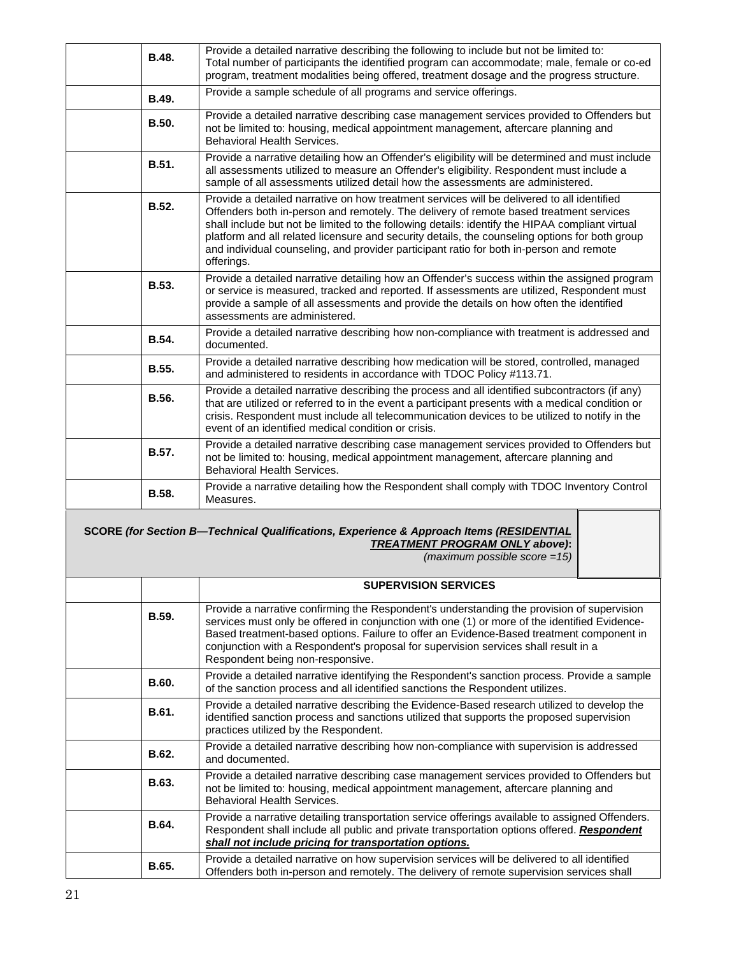| B.48.        | Provide a detailed narrative describing the following to include but not be limited to:<br>Total number of participants the identified program can accommodate; male, female or co-ed<br>program, treatment modalities being offered, treatment dosage and the progress structure.                                                                                                                                                                                                                 |  |  |  |
|--------------|----------------------------------------------------------------------------------------------------------------------------------------------------------------------------------------------------------------------------------------------------------------------------------------------------------------------------------------------------------------------------------------------------------------------------------------------------------------------------------------------------|--|--|--|
| B.49.        | Provide a sample schedule of all programs and service offerings.                                                                                                                                                                                                                                                                                                                                                                                                                                   |  |  |  |
| <b>B.50.</b> | Provide a detailed narrative describing case management services provided to Offenders but<br>not be limited to: housing, medical appointment management, aftercare planning and<br><b>Behavioral Health Services.</b>                                                                                                                                                                                                                                                                             |  |  |  |
| <b>B.51.</b> | Provide a narrative detailing how an Offender's eligibility will be determined and must include<br>all assessments utilized to measure an Offender's eligibility. Respondent must include a<br>sample of all assessments utilized detail how the assessments are administered.                                                                                                                                                                                                                     |  |  |  |
| <b>B.52.</b> | Provide a detailed narrative on how treatment services will be delivered to all identified<br>Offenders both in-person and remotely. The delivery of remote based treatment services<br>shall include but not be limited to the following details: identify the HIPAA compliant virtual<br>platform and all related licensure and security details, the counseling options for both group<br>and individual counseling, and provider participant ratio for both in-person and remote<br>offerings. |  |  |  |
| <b>B.53.</b> | Provide a detailed narrative detailing how an Offender's success within the assigned program<br>or service is measured, tracked and reported. If assessments are utilized, Respondent must<br>provide a sample of all assessments and provide the details on how often the identified<br>assessments are administered.                                                                                                                                                                             |  |  |  |
| B.54.        | Provide a detailed narrative describing how non-compliance with treatment is addressed and<br>documented.                                                                                                                                                                                                                                                                                                                                                                                          |  |  |  |
| <b>B.55.</b> | Provide a detailed narrative describing how medication will be stored, controlled, managed<br>and administered to residents in accordance with TDOC Policy #113.71.                                                                                                                                                                                                                                                                                                                                |  |  |  |
| B.56.        | Provide a detailed narrative describing the process and all identified subcontractors (if any)<br>that are utilized or referred to in the event a participant presents with a medical condition or<br>crisis. Respondent must include all telecommunication devices to be utilized to notify in the<br>event of an identified medical condition or crisis.                                                                                                                                         |  |  |  |
| <b>B.57.</b> | Provide a detailed narrative describing case management services provided to Offenders but<br>not be limited to: housing, medical appointment management, aftercare planning and<br><b>Behavioral Health Services.</b>                                                                                                                                                                                                                                                                             |  |  |  |
| B.58.        | Provide a narrative detailing how the Respondent shall comply with TDOC Inventory Control<br>Measures.                                                                                                                                                                                                                                                                                                                                                                                             |  |  |  |
|              | SCORE (for Section B-Technical Qualifications, Experience & Approach Items (RESIDENTIAL<br><b>TREATMENT PROGRAM ONLY above):</b><br>(maximum possible score = $15$ )                                                                                                                                                                                                                                                                                                                               |  |  |  |
|              | <b>SUPERVISION SERVICES</b>                                                                                                                                                                                                                                                                                                                                                                                                                                                                        |  |  |  |
| <b>B.59.</b> | Provide a narrative confirming the Respondent's understanding the provision of supervision<br>services must only be offered in conjunction with one (1) or more of the identified Evidence-<br>Based treatment-based options. Failure to offer an Evidence-Based treatment component in<br>conjunction with a Respondent's proposal for supervision services shall result in a<br>Respondent being non-responsive.                                                                                 |  |  |  |
| B.60.        | Provide a detailed narrative identifying the Respondent's sanction process. Provide a sample<br>of the sanction process and all identified sanctions the Respondent utilizes.                                                                                                                                                                                                                                                                                                                      |  |  |  |
| B.61.        | Provide a detailed narrative describing the Evidence-Based research utilized to develop the<br>identified sanction process and sanctions utilized that supports the proposed supervision<br>practices utilized by the Respondent.                                                                                                                                                                                                                                                                  |  |  |  |
| B.62.        | Provide a detailed narrative describing how non-compliance with supervision is addressed<br>and documented.                                                                                                                                                                                                                                                                                                                                                                                        |  |  |  |
| B.63.        | Provide a detailed narrative describing case management services provided to Offenders but<br>not be limited to: housing, medical appointment management, aftercare planning and<br>Behavioral Health Services.                                                                                                                                                                                                                                                                                    |  |  |  |
| B.64.        | Provide a narrative detailing transportation service offerings available to assigned Offenders.<br>Respondent shall include all public and private transportation options offered. Respondent<br>shall not include pricing for transportation options.                                                                                                                                                                                                                                             |  |  |  |
| B.65.        | Provide a detailed narrative on how supervision services will be delivered to all identified<br>Offenders both in-person and remotely. The delivery of remote supervision services shall                                                                                                                                                                                                                                                                                                           |  |  |  |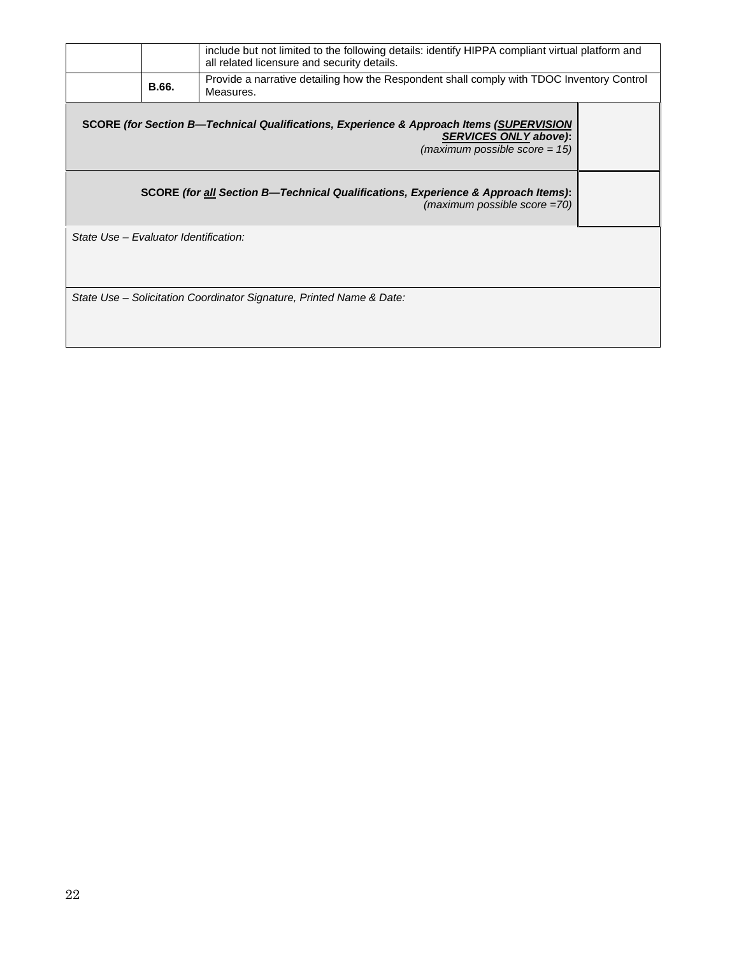|                                                                                                                                                             |       | include but not limited to the following details: identify HIPPA compliant virtual platform and<br>all related licensure and security details. |  |  |  |
|-------------------------------------------------------------------------------------------------------------------------------------------------------------|-------|------------------------------------------------------------------------------------------------------------------------------------------------|--|--|--|
|                                                                                                                                                             | B.66. | Provide a narrative detailing how the Respondent shall comply with TDOC Inventory Control<br>Measures.                                         |  |  |  |
| SCORE (for Section B—Technical Qualifications, Experience & Approach Items (SUPERVISION<br><b>SERVICES ONLY above):</b><br>(maximum possible score = $15$ ) |       |                                                                                                                                                |  |  |  |
| SCORE (for all Section B—Technical Qualifications, Experience & Approach Items):<br>$(maximum possible score = 70)$                                         |       |                                                                                                                                                |  |  |  |
| State Use - Evaluator Identification:                                                                                                                       |       |                                                                                                                                                |  |  |  |
|                                                                                                                                                             |       | State Use – Solicitation Coordinator Signature, Printed Name & Date:                                                                           |  |  |  |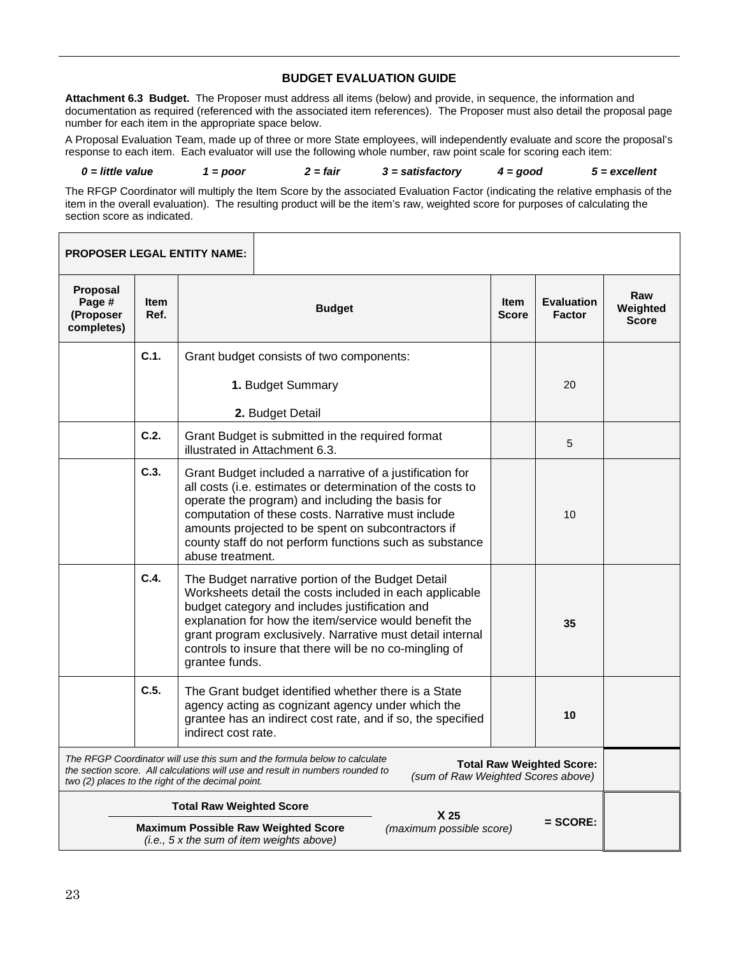#### **BUDGET EVALUATION GUIDE**

**Attachment 6.3 Budget.** The Proposer must address all items (below) and provide, in sequence, the information and documentation as required (referenced with the associated item references). The Proposer must also detail the proposal page number for each item in the appropriate space below.

A Proposal Evaluation Team, made up of three or more State employees, will independently evaluate and score the proposal's response to each item. Each evaluator will use the following whole number, raw point scale for scoring each item:

*0 = little value 1 = poor 2 = fair 3 = satisfactory 4 = good 5 = excellent*

The RFGP Coordinator will multiply the Item Score by the associated Evaluation Factor (indicating the relative emphasis of the item in the overall evaluation). The resulting product will be the item's raw, weighted score for purposes of calculating the section score as indicated.

|                                                                                                                                   |                     | <b>PROPOSER LEGAL ENTITY NAME:</b>                |                                                                                                                                                                                                                                                                                                                                                   |                                    |                             |                                    |                                 |
|-----------------------------------------------------------------------------------------------------------------------------------|---------------------|---------------------------------------------------|---------------------------------------------------------------------------------------------------------------------------------------------------------------------------------------------------------------------------------------------------------------------------------------------------------------------------------------------------|------------------------------------|-----------------------------|------------------------------------|---------------------------------|
| Proposal<br>Page #<br>(Proposer<br>completes)                                                                                     | <b>Item</b><br>Ref. |                                                   | <b>Budget</b>                                                                                                                                                                                                                                                                                                                                     |                                    | <b>Item</b><br><b>Score</b> | <b>Evaluation</b><br><b>Factor</b> | Raw<br>Weighted<br><b>Score</b> |
|                                                                                                                                   | C.1.                |                                                   | Grant budget consists of two components:                                                                                                                                                                                                                                                                                                          |                                    |                             |                                    |                                 |
|                                                                                                                                   |                     | 1. Budget Summary                                 |                                                                                                                                                                                                                                                                                                                                                   |                                    | 20                          |                                    |                                 |
|                                                                                                                                   |                     |                                                   | 2. Budget Detail                                                                                                                                                                                                                                                                                                                                  |                                    |                             |                                    |                                 |
|                                                                                                                                   | C.2.                |                                                   | Grant Budget is submitted in the required format<br>illustrated in Attachment 6.3.                                                                                                                                                                                                                                                                |                                    |                             | 5                                  |                                 |
|                                                                                                                                   | C.3.                | abuse treatment.                                  | Grant Budget included a narrative of a justification for<br>all costs (i.e. estimates or determination of the costs to<br>operate the program) and including the basis for<br>computation of these costs. Narrative must include<br>amounts projected to be spent on subcontractors if<br>county staff do not perform functions such as substance |                                    |                             | 10                                 |                                 |
|                                                                                                                                   | C.4.                | grantee funds.                                    | The Budget narrative portion of the Budget Detail<br>Worksheets detail the costs included in each applicable<br>budget category and includes justification and<br>explanation for how the item/service would benefit the<br>grant program exclusively. Narrative must detail internal<br>controls to insure that there will be no co-mingling of  |                                    |                             | 35                                 |                                 |
|                                                                                                                                   | C.5.                | indirect cost rate.                               | The Grant budget identified whether there is a State<br>agency acting as cognizant agency under which the<br>grantee has an indirect cost rate, and if so, the specified                                                                                                                                                                          |                                    |                             | 10                                 |                                 |
|                                                                                                                                   |                     | two (2) places to the right of the decimal point. | The RFGP Coordinator will use this sum and the formula below to calculate<br>the section score. All calculations will use and result in numbers rounded to                                                                                                                                                                                        | (sum of Raw Weighted Scores above) |                             | <b>Total Raw Weighted Score:</b>   |                                 |
|                                                                                                                                   |                     | <b>Total Raw Weighted Score</b>                   |                                                                                                                                                                                                                                                                                                                                                   | X 25                               |                             |                                    |                                 |
| $=$ SCORE:<br><b>Maximum Possible Raw Weighted Score</b><br>(maximum possible score)<br>(i.e., 5 x the sum of item weights above) |                     |                                                   |                                                                                                                                                                                                                                                                                                                                                   |                                    |                             |                                    |                                 |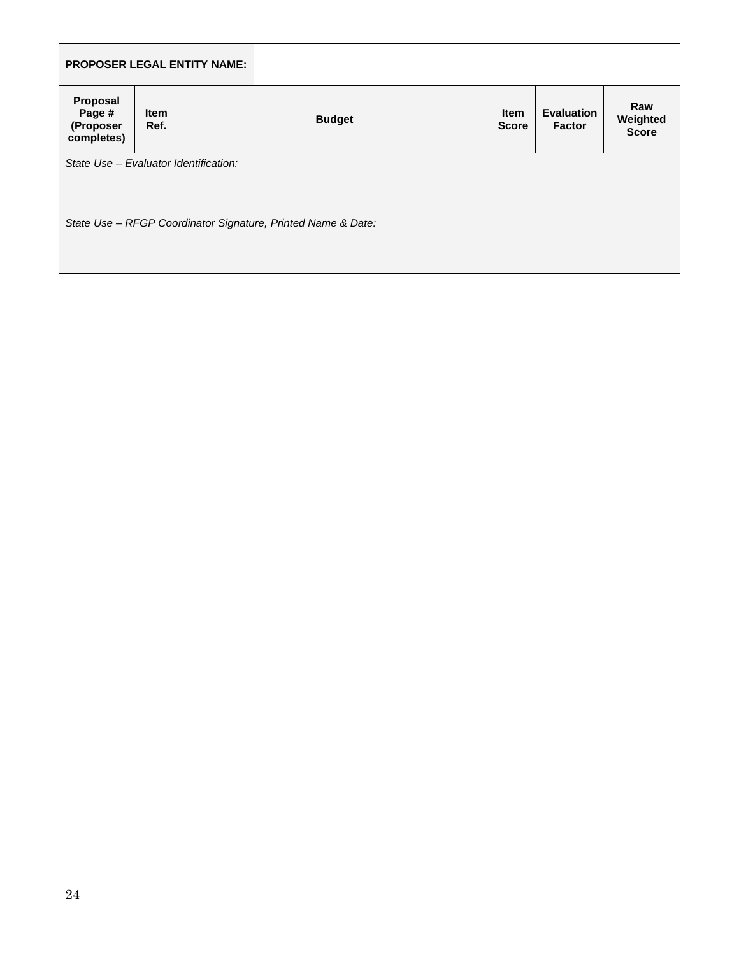|                                               |                     | <b>PROPOSER LEGAL ENTITY NAME:</b> |                                                              |                             |                             |                                 |
|-----------------------------------------------|---------------------|------------------------------------|--------------------------------------------------------------|-----------------------------|-----------------------------|---------------------------------|
| Proposal<br>Page #<br>(Proposer<br>completes) | <b>Item</b><br>Ref. |                                    | <b>Budget</b>                                                | <b>Item</b><br><b>Score</b> | <b>Evaluation</b><br>Factor | Raw<br>Weighted<br><b>Score</b> |
| State Use - Evaluator Identification:         |                     |                                    |                                                              |                             |                             |                                 |
|                                               |                     |                                    | State Use - RFGP Coordinator Signature, Printed Name & Date: |                             |                             |                                 |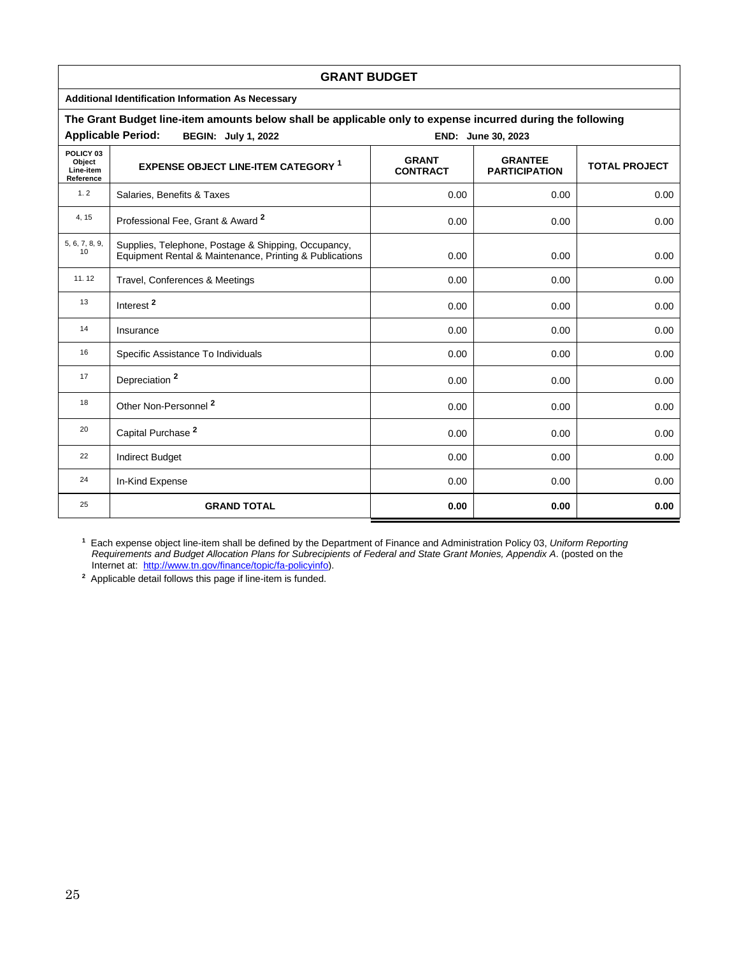|                                               | <b>GRANT BUDGET</b>                                                                                                                             |      |                    |      |  |  |
|-----------------------------------------------|-------------------------------------------------------------------------------------------------------------------------------------------------|------|--------------------|------|--|--|
|                                               | <b>Additional Identification Information As Necessary</b>                                                                                       |      |                    |      |  |  |
|                                               | The Grant Budget line-item amounts below shall be applicable only to expense incurred during the following                                      |      |                    |      |  |  |
|                                               | <b>Applicable Period:</b><br><b>BEGIN: July 1, 2022</b>                                                                                         |      | END: June 30, 2023 |      |  |  |
| POLICY 03<br>Object<br>Line-item<br>Reference | <b>GRANT</b><br><b>GRANTEE</b><br><b>EXPENSE OBJECT LINE-ITEM CATEGORY 1</b><br><b>TOTAL PROJECT</b><br><b>CONTRACT</b><br><b>PARTICIPATION</b> |      |                    |      |  |  |
| 1.2                                           | Salaries, Benefits & Taxes                                                                                                                      | 0.00 | 0.00               | 0.00 |  |  |
| 4, 15                                         | Professional Fee, Grant & Award 2                                                                                                               | 0.00 | 0.00               | 0.00 |  |  |
| 5, 6, 7, 8, 9,<br>10                          | Supplies, Telephone, Postage & Shipping, Occupancy,<br>Equipment Rental & Maintenance, Printing & Publications                                  | 0.00 | 0.00               | 0.00 |  |  |
| 11.12                                         | Travel, Conferences & Meetings                                                                                                                  | 0.00 | 0.00               | 0.00 |  |  |
| 13                                            | Interest <sup>2</sup>                                                                                                                           | 0.00 | 0.00               | 0.00 |  |  |
| 14                                            | Insurance                                                                                                                                       | 0.00 | 0.00               | 0.00 |  |  |
| 16                                            | Specific Assistance To Individuals                                                                                                              | 0.00 | 0.00               | 0.00 |  |  |
| 17                                            | Depreciation <sup>2</sup>                                                                                                                       | 0.00 | 0.00               | 0.00 |  |  |
| 18                                            | Other Non-Personnel <sup>2</sup>                                                                                                                | 0.00 | 0.00               | 0.00 |  |  |
| 20                                            | Capital Purchase <sup>2</sup>                                                                                                                   | 0.00 | 0.00               | 0.00 |  |  |
| 22                                            | <b>Indirect Budget</b>                                                                                                                          | 0.00 | 0.00               | 0.00 |  |  |
| 24                                            | In-Kind Expense                                                                                                                                 | 0.00 | 0.00               | 0.00 |  |  |
| 25                                            | <b>GRAND TOTAL</b>                                                                                                                              | 0.00 | 0.00               | 0.00 |  |  |

**1** Each expense object line-item shall be defined by the Department of Finance and Administration Policy 03, *Uniform Reporting Requirements and Budget Allocation Plans for Subrecipients of Federal and State Grant Monies, Appendix A*. (posted on the Internet at: [http://www.tn.gov/finance/topic/fa-policyinfo\)](http://www.tn.gov/finance/topic/fa-policyinfo).

**2** Applicable detail follows this page if line-item is funded.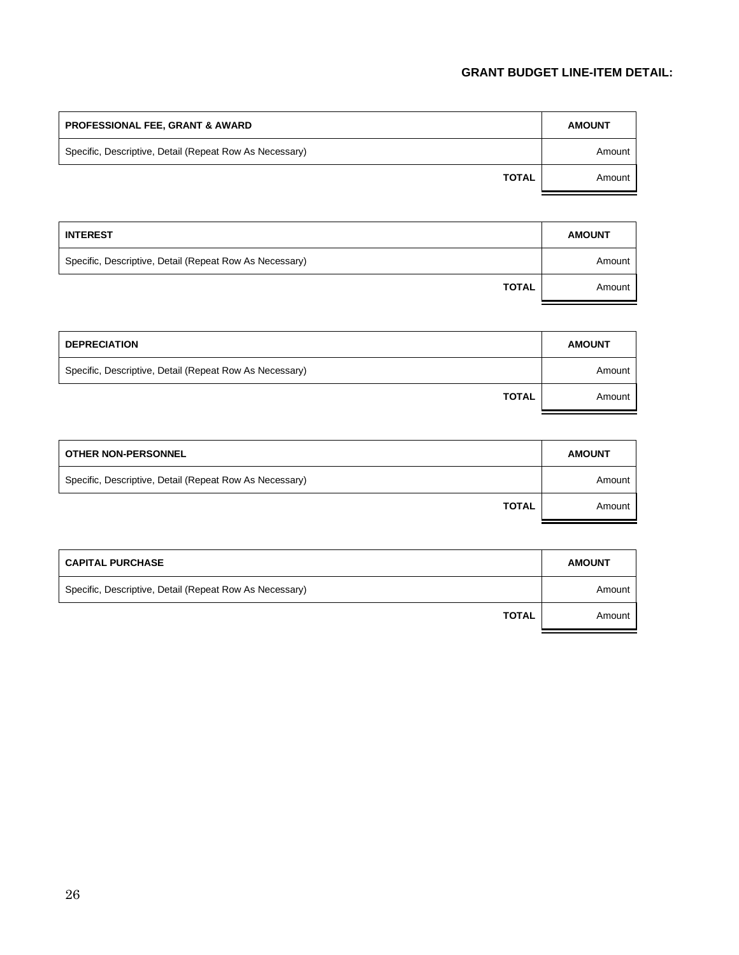## **GRANT BUDGET LINE-ITEM DETAIL:**

| <b>PROFESSIONAL FEE, GRANT &amp; AWARD</b>              | <b>AMOUNT</b> |
|---------------------------------------------------------|---------------|
| Specific, Descriptive, Detail (Repeat Row As Necessary) | Amount        |
| <b>TOTAL</b>                                            | Amount        |

| <b>INTEREST</b>                                         | <b>AMOUNT</b> |
|---------------------------------------------------------|---------------|
| Specific, Descriptive, Detail (Repeat Row As Necessary) | Amount        |
| <b>TOTAL</b>                                            | Amount        |

| <b>DEPRECIATION</b>                                     | <b>AMOUNT</b> |
|---------------------------------------------------------|---------------|
| Specific, Descriptive, Detail (Repeat Row As Necessary) | Amount        |
| <b>TOTAL</b>                                            | Amount        |

| <b>OTHER NON-PERSONNEL</b>                              | <b>AMOUNT</b> |
|---------------------------------------------------------|---------------|
| Specific, Descriptive, Detail (Repeat Row As Necessary) | Amount        |
| <b>TOTAL</b>                                            | Amount        |

| <b>CAPITAL PURCHASE</b>                                 | <b>AMOUNT</b> |
|---------------------------------------------------------|---------------|
| Specific, Descriptive, Detail (Repeat Row As Necessary) | Amount        |
| <b>TOTAL</b>                                            | Amount        |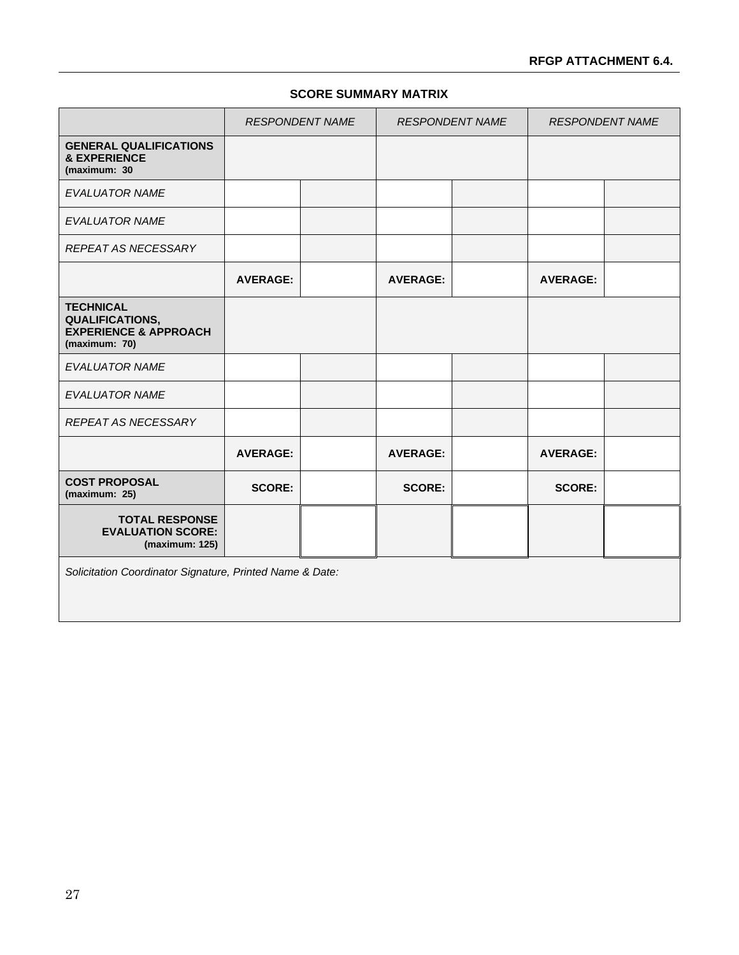## **RFGP ATTACHMENT 6.4.**

## **SCORE SUMMARY MATRIX**

|                                                                                                 | <b>RESPONDENT NAME</b> |  | <b>RESPONDENT NAME</b> |  | <b>RESPONDENT NAME</b> |  |  |
|-------------------------------------------------------------------------------------------------|------------------------|--|------------------------|--|------------------------|--|--|
| <b>GENERAL QUALIFICATIONS</b><br><b>&amp; EXPERIENCE</b><br>(maximum: 30                        |                        |  |                        |  |                        |  |  |
| <b>EVALUATOR NAME</b>                                                                           |                        |  |                        |  |                        |  |  |
| <b>EVALUATOR NAME</b>                                                                           |                        |  |                        |  |                        |  |  |
| REPEAT AS NECESSARY                                                                             |                        |  |                        |  |                        |  |  |
|                                                                                                 | <b>AVERAGE:</b>        |  | <b>AVERAGE:</b>        |  | <b>AVERAGE:</b>        |  |  |
| <b>TECHNICAL</b><br><b>QUALIFICATIONS,</b><br><b>EXPERIENCE &amp; APPROACH</b><br>(maximum: 70) |                        |  |                        |  |                        |  |  |
| <b>EVALUATOR NAME</b>                                                                           |                        |  |                        |  |                        |  |  |
| <b>EVALUATOR NAME</b>                                                                           |                        |  |                        |  |                        |  |  |
| <b>REPEAT AS NECESSARY</b>                                                                      |                        |  |                        |  |                        |  |  |
|                                                                                                 | <b>AVERAGE:</b>        |  | <b>AVERAGE:</b>        |  | <b>AVERAGE:</b>        |  |  |
| <b>COST PROPOSAL</b><br>(maximum: 25)                                                           | <b>SCORE:</b>          |  | <b>SCORE:</b>          |  | <b>SCORE:</b>          |  |  |
| <b>TOTAL RESPONSE</b><br><b>EVALUATION SCORE:</b><br>(maximum: 125)                             |                        |  |                        |  |                        |  |  |
| Solicitation Coordinator Signature, Printed Name & Date:                                        |                        |  |                        |  |                        |  |  |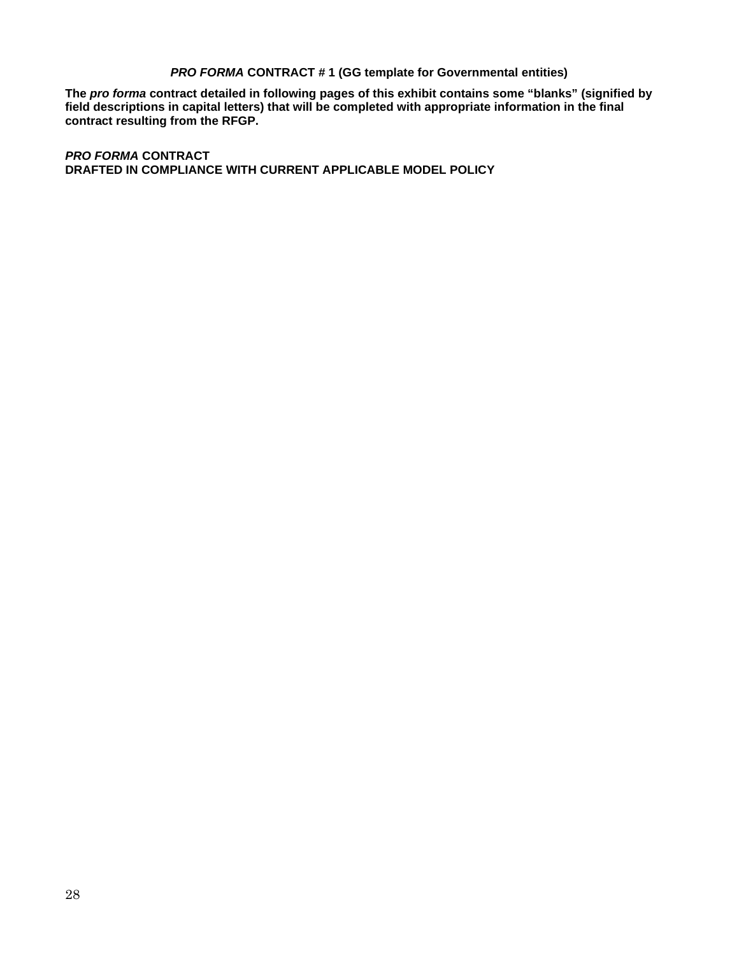#### *PRO FORMA* **CONTRACT # 1 (GG template for Governmental entities)**

**The** *pro forma* **contract detailed in following pages of this exhibit contains some "blanks" (signified by field descriptions in capital letters) that will be completed with appropriate information in the final contract resulting from the RFGP.**

*PRO FORMA* **CONTRACT DRAFTED IN COMPLIANCE WITH CURRENT APPLICABLE MODEL POLICY**